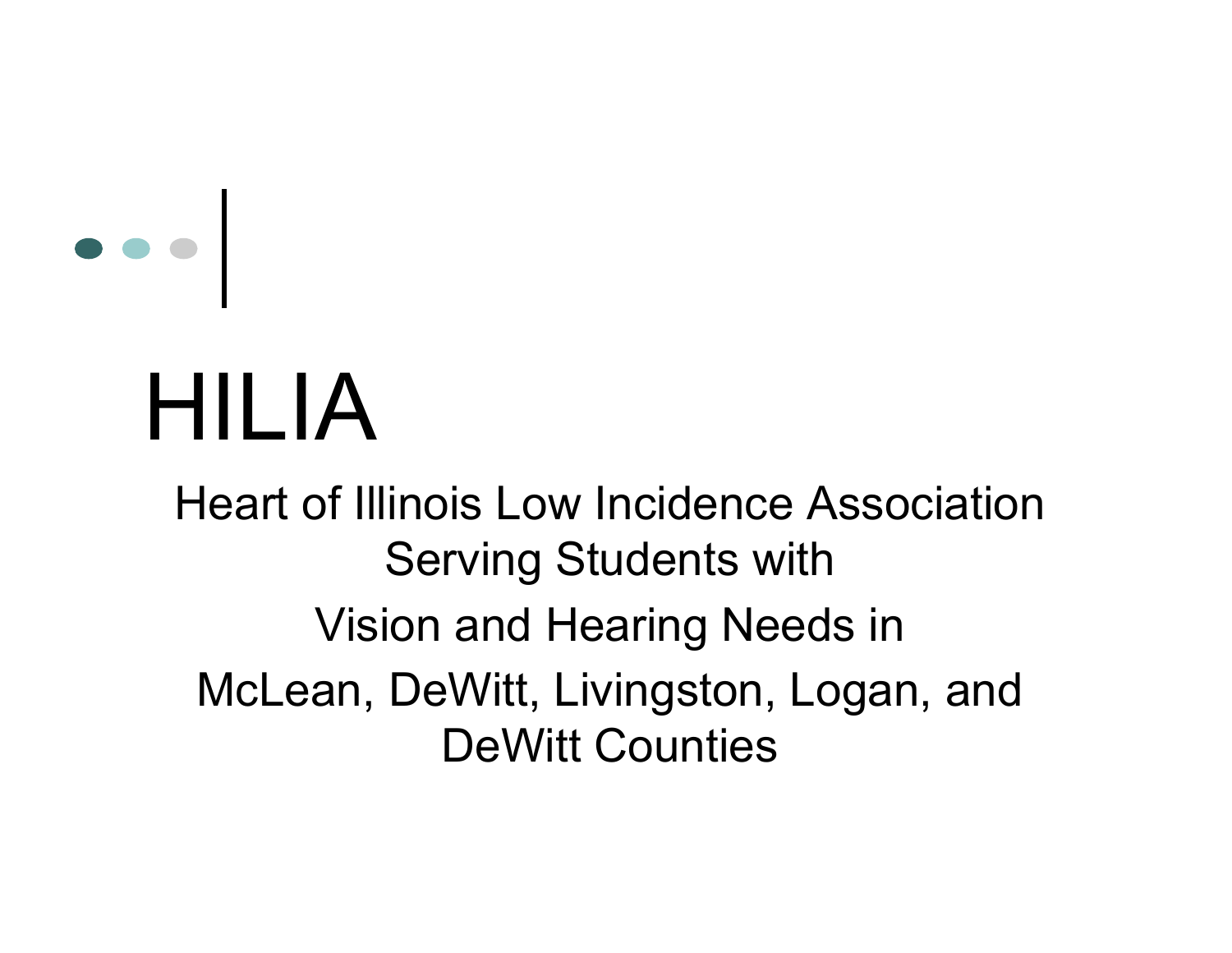

# HILIA

Heart of Illinois Low Incidence AssociationServing Students with Vision and Hearing Needs in McLean, DeWitt, Livingston, Logan, and DeWitt Counties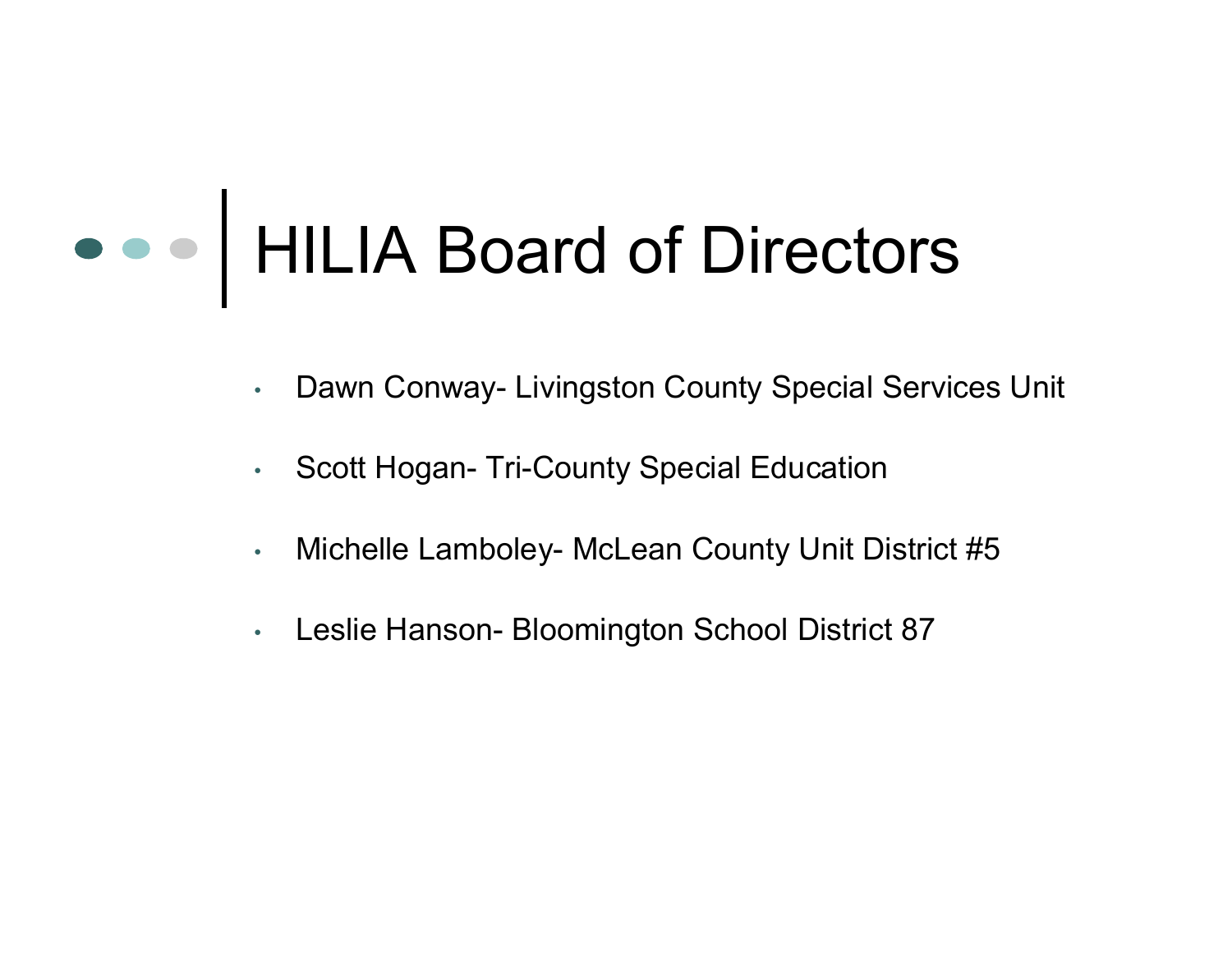# HILIA Board of Directors

- •Dawn Conway- Livingston County Special Services Unit
- $\bullet$ Scott Hogan- Tri-County Special Education
- •Michelle Lamboley- McLean County Unit District #5
- $\bullet$ Leslie Hanson- Bloomington School District 87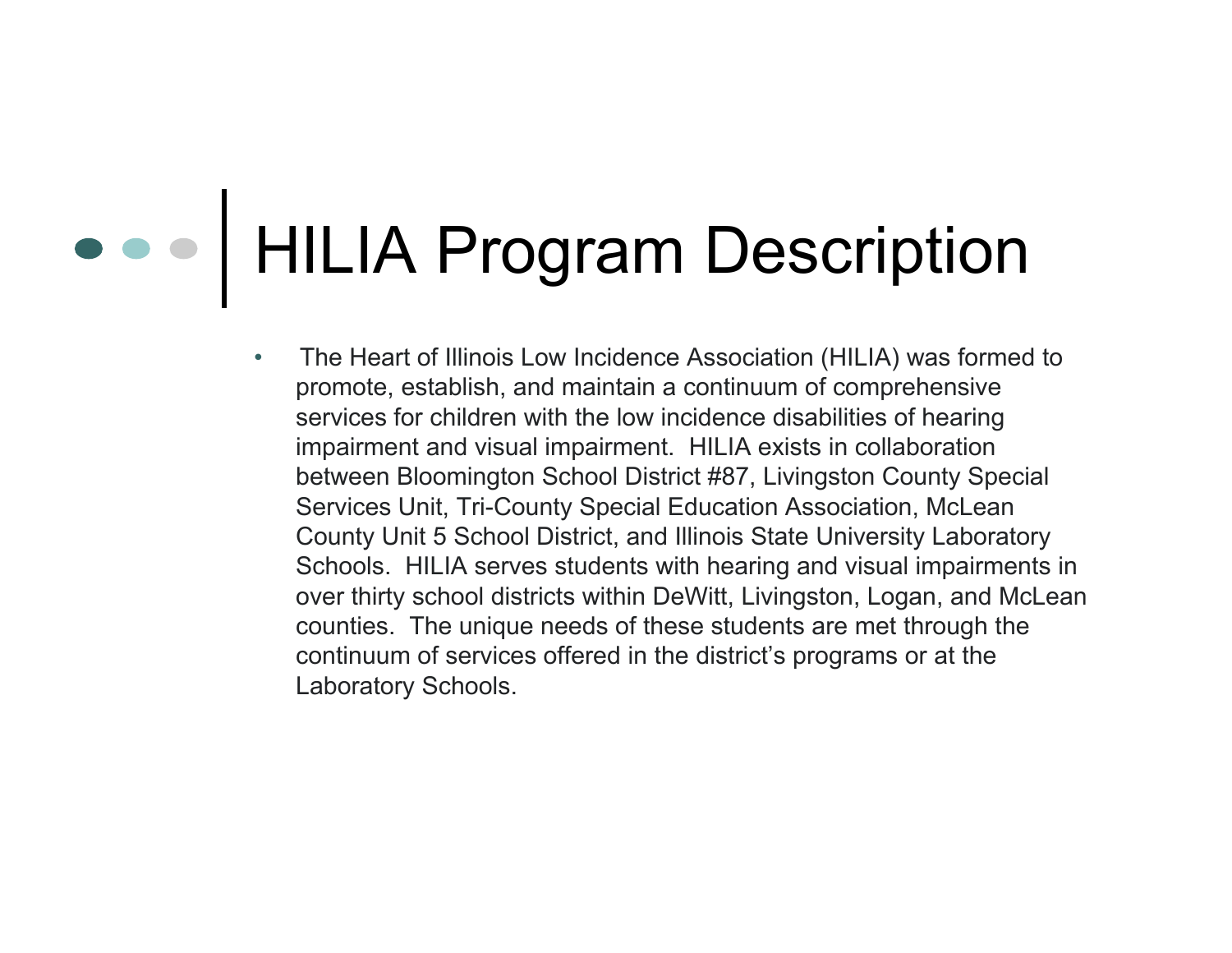# HILIA Program Description

• The Heart of Illinois Low Incidence Association (HILIA) was formed to promote, establish, and maintain a continuum of comprehensive services for children with the low incidence disabilities of hearing impairment and visual impairment. HILIA exists in collaboration between Bloomington School District #87, Livingston County Special Services Unit, Tri-County Special Education Association, McLean County Unit 5 School District, and Illinois State University Laboratory Schools. HILIA serves students with hearing and visual impairments in over thirty school districts within DeWitt, Livingston, Logan, and McLean counties. The unique needs of these students are met through the continuum of services offered in the district's programs or at the Laboratory Schools.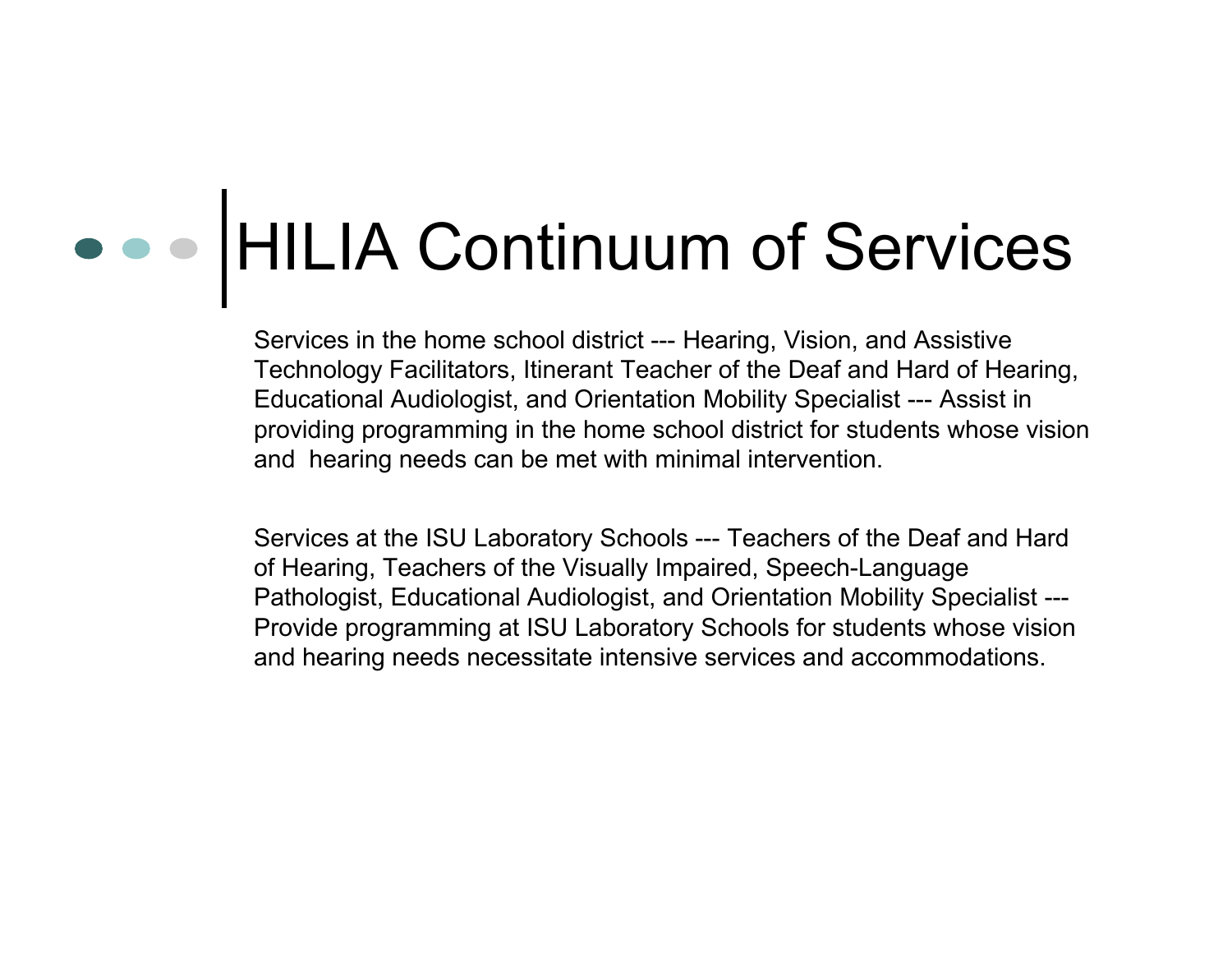# HILIA Continuum of Services

Services in the home school district --- Hearing, Vision, and Assistive Technology Facilitators, Itinerant Teacher of the Deaf and Hard of Hearing, Educational Audiologist, and Orientation Mobility Specialist --- Assist in providing programming in the home school district for students whose vision and hearing needs can be met with minimal intervention.

Services at the ISU Laboratory Schools --- Teachers of the Deaf and Hard of Hearing, Teachers of the Visually Impaired, Speech-Language Pathologist, Educational Audiologist, and Orientation Mobility Specialist --- Provide programming at ISU Laboratory Schools for students whose vision and hearing needs necessitate intensive services and accommodations.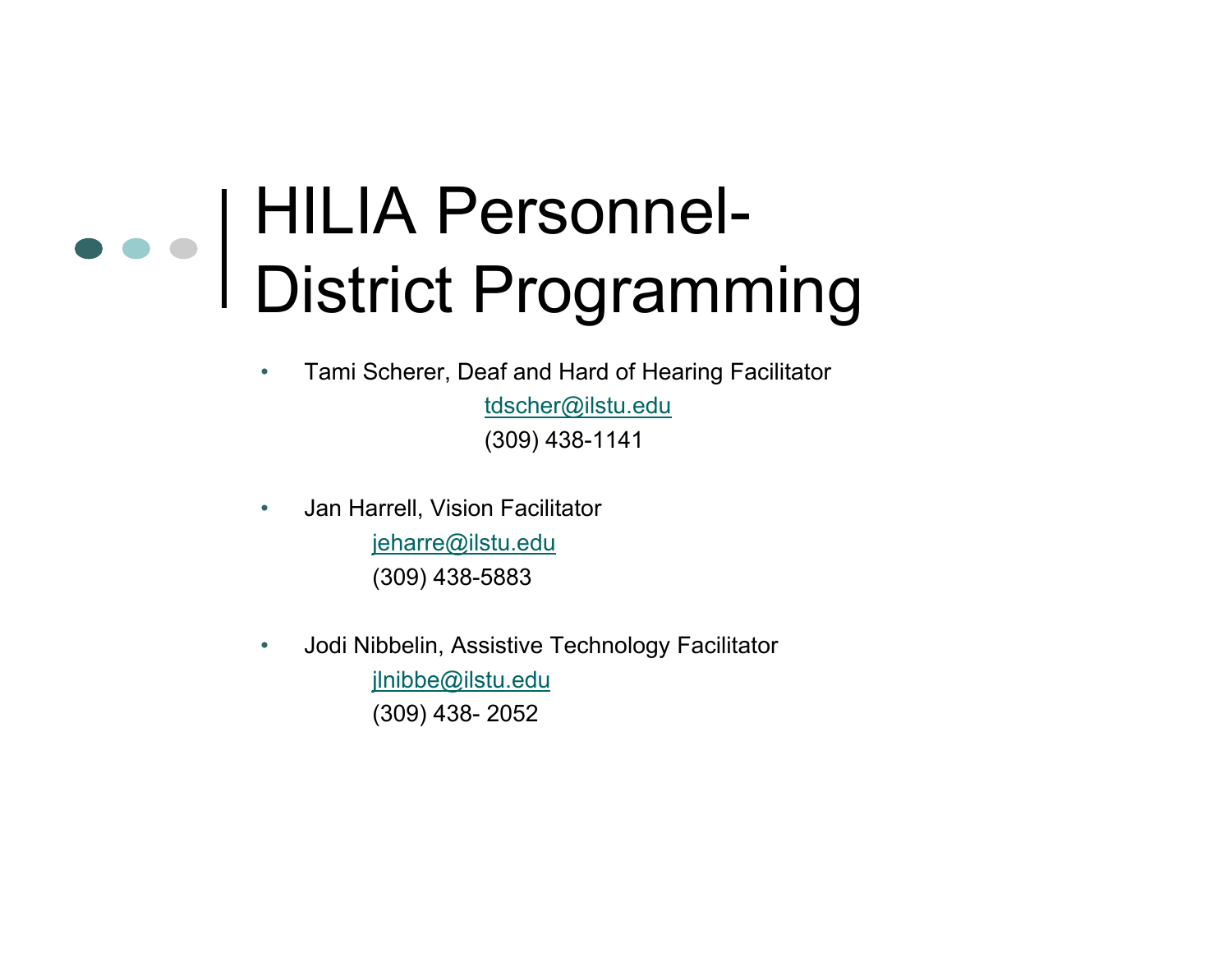## HILIA Personnel-District Programming

•Tami Scherer, Deaf and Hard of Hearing Facilitator

> tdscher@ilstu.edu (309) 438-1141

- • Jan Harrell, Vision Facilitator jeharre@ilstu.edu (309) 438-5883
- • Jodi Nibbelin, Assistive Technology Facilitator jlnibbe@ilstu.edu (309) 438- 2052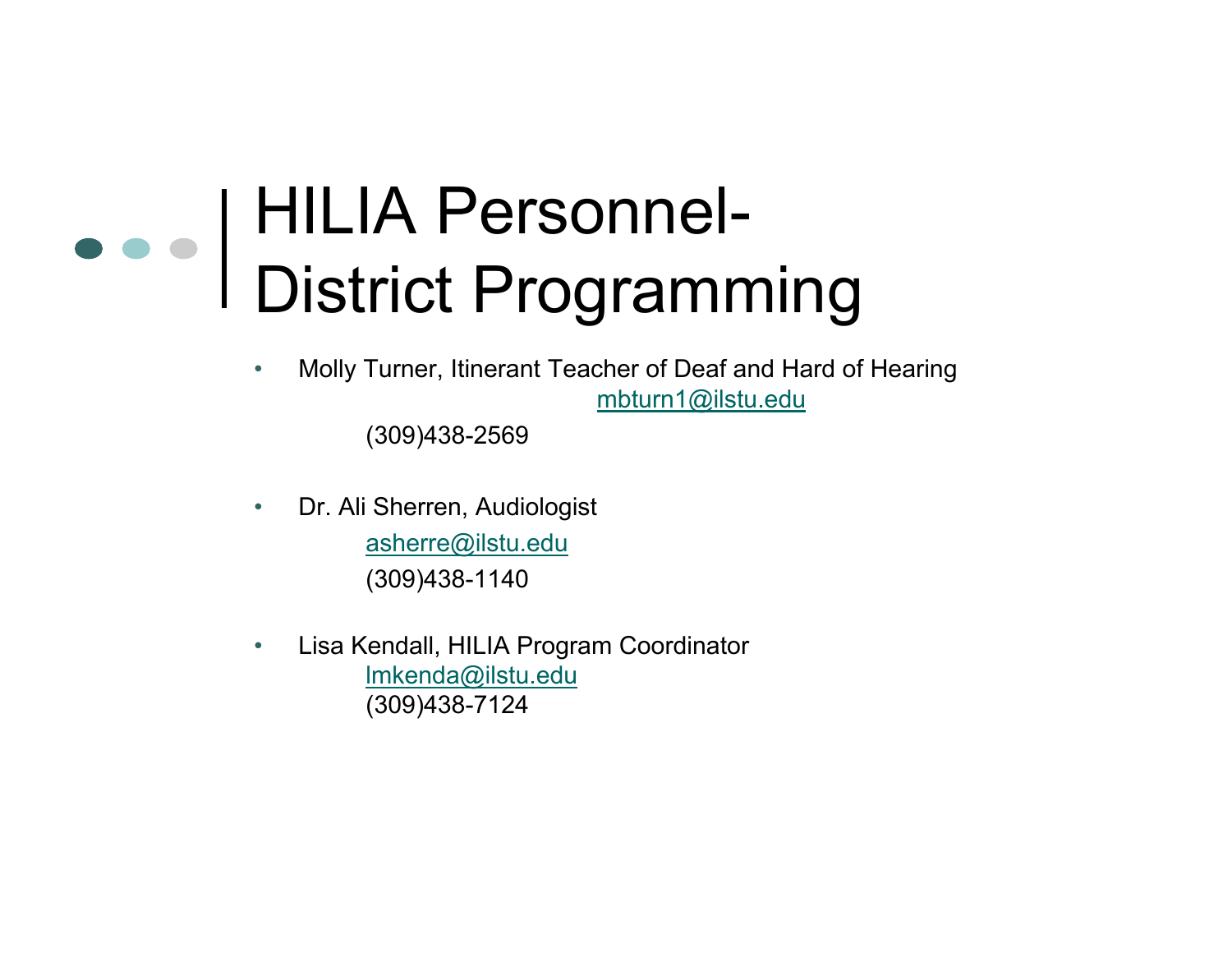## HILIA Personnel-District Programming

• Molly Turner, Itinerant Teacher of Deaf and Hard of Hearing mbturn1@ilstu.edu

(309)438-2569

- • Dr. Ali Sherren, Audiologist asherre@ilstu.edu (309)438-1140
- • Lisa Kendall, HILIA Program Coordinator lmkenda@ilstu.edu (309)438-7124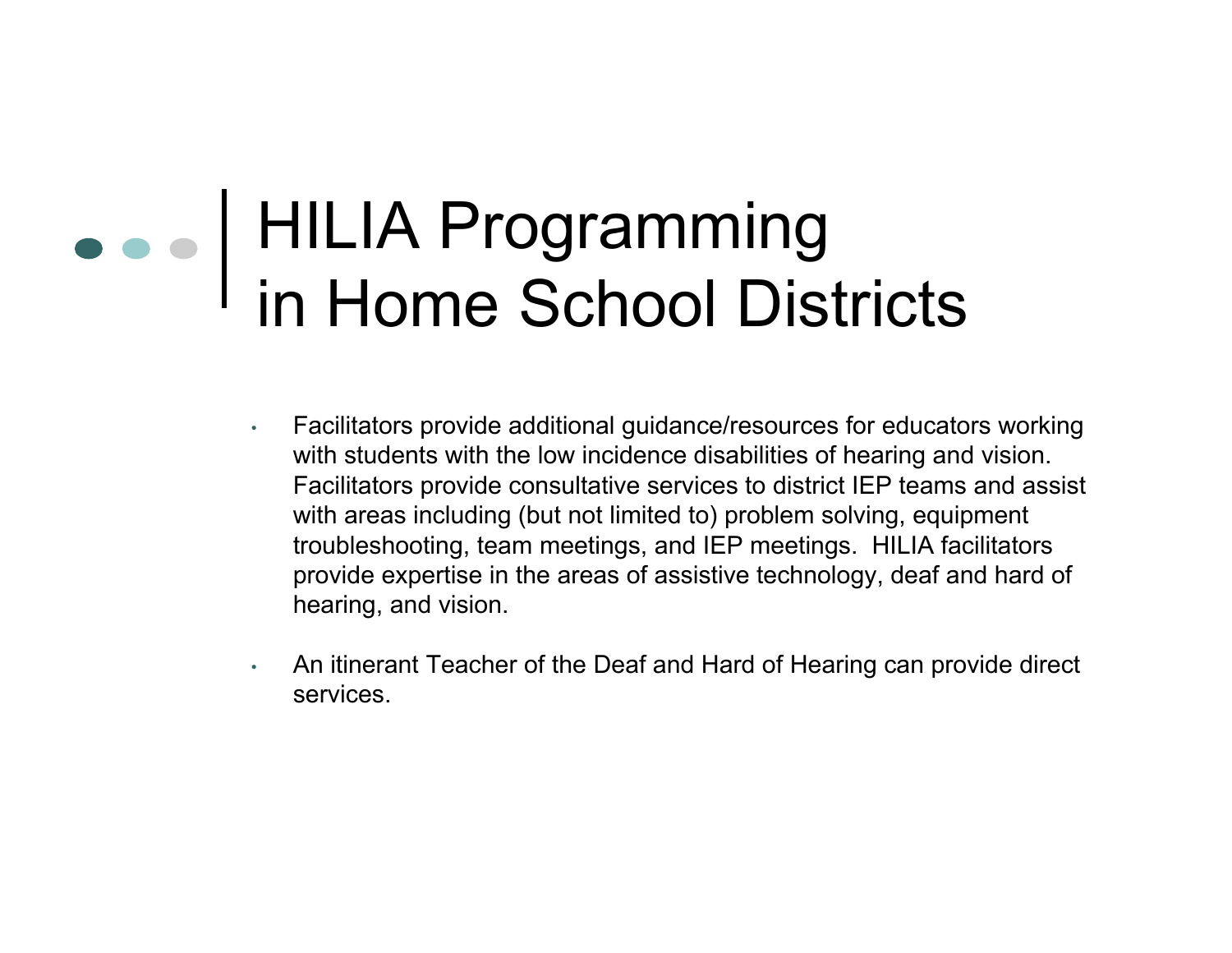## HILIA Programming in Home School Districts

- • Facilitators provide additional guidance/resources for educators working with students with the low incidence disabilities of hearing and vision. Facilitators provide consultative services to district IEP teams and assist with areas including (but not limited to) problem solving, equipment troubleshooting, team meetings, and IEP meetings. HILIA facilitators provide expertise in the areas of assistive technology, deaf and hard of hearing, and vision.
- • An itinerant Teacher of the Deaf and Hard of Hearing can provide direct services.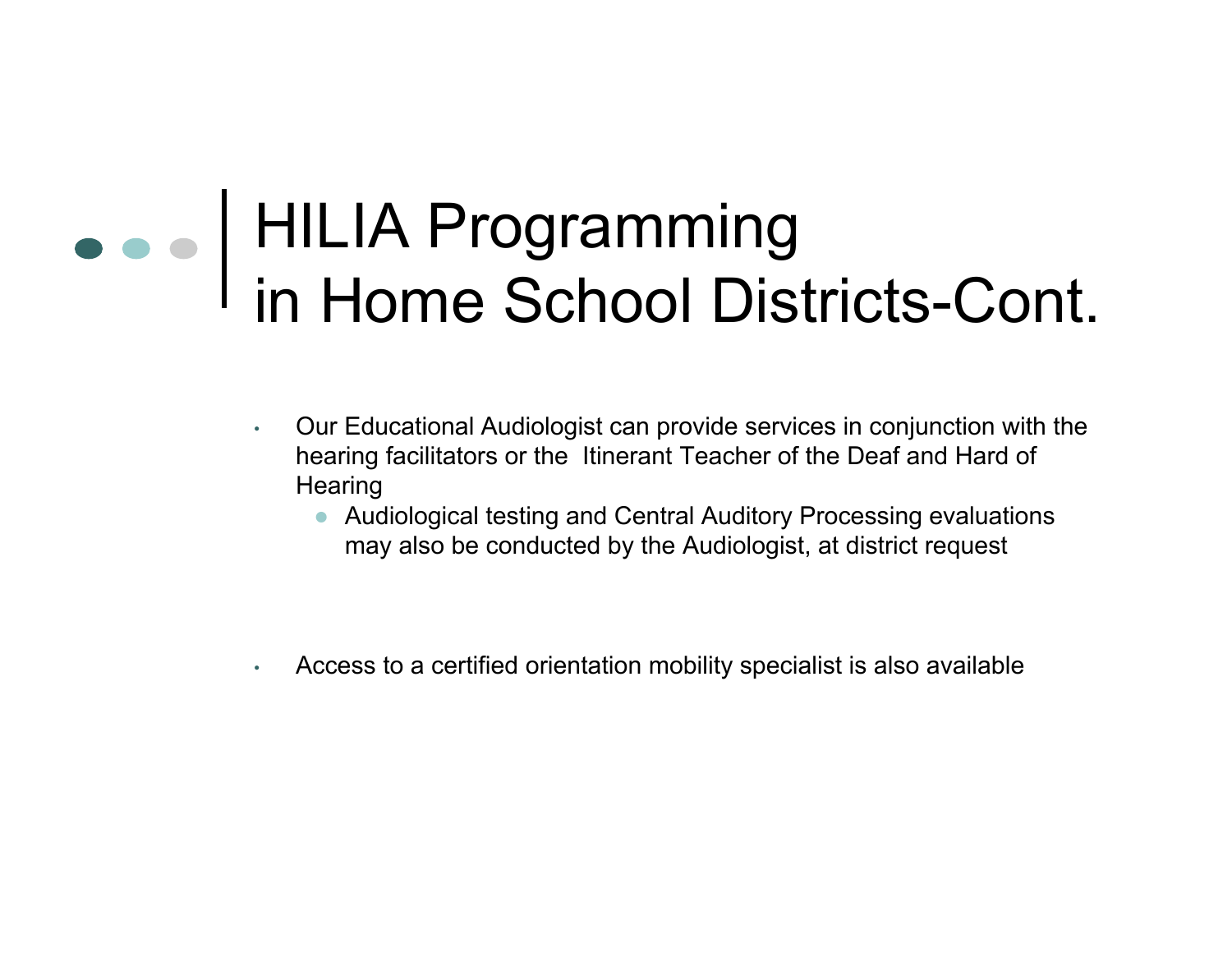### HILIA Programming in Home School Districts-Cont.

- • Our Educational Audiologist can provide services in conjunction with the hearing facilitators or the Itinerant Teacher of the Deaf and Hard of **Hearing** 
	- ● Audiological testing and Central Auditory Processing evaluations may also be conducted by the Audiologist, at district request
- •Access to a certified orientation mobility specialist is also available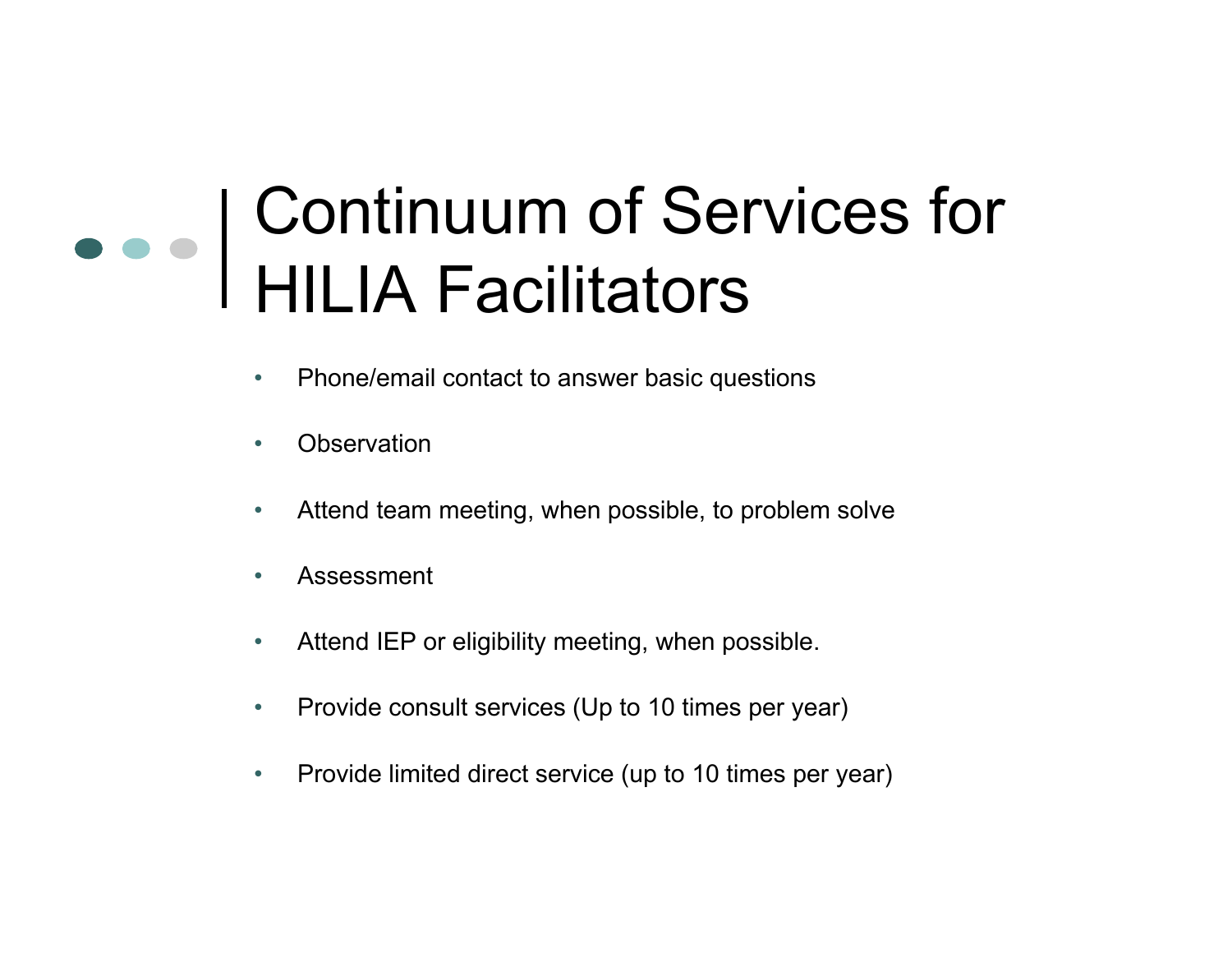### Continuum of Services for HILIA Facilitators

- •Phone/email contact to answer basic questions
- •**Observation**
- •Attend team meeting, when possible, to problem solve
- •Assessment
- •Attend IEP or eligibility meeting, when possible.
- •Provide consult services (Up to 10 times per year)
- •Provide limited direct service (up to 10 times per year)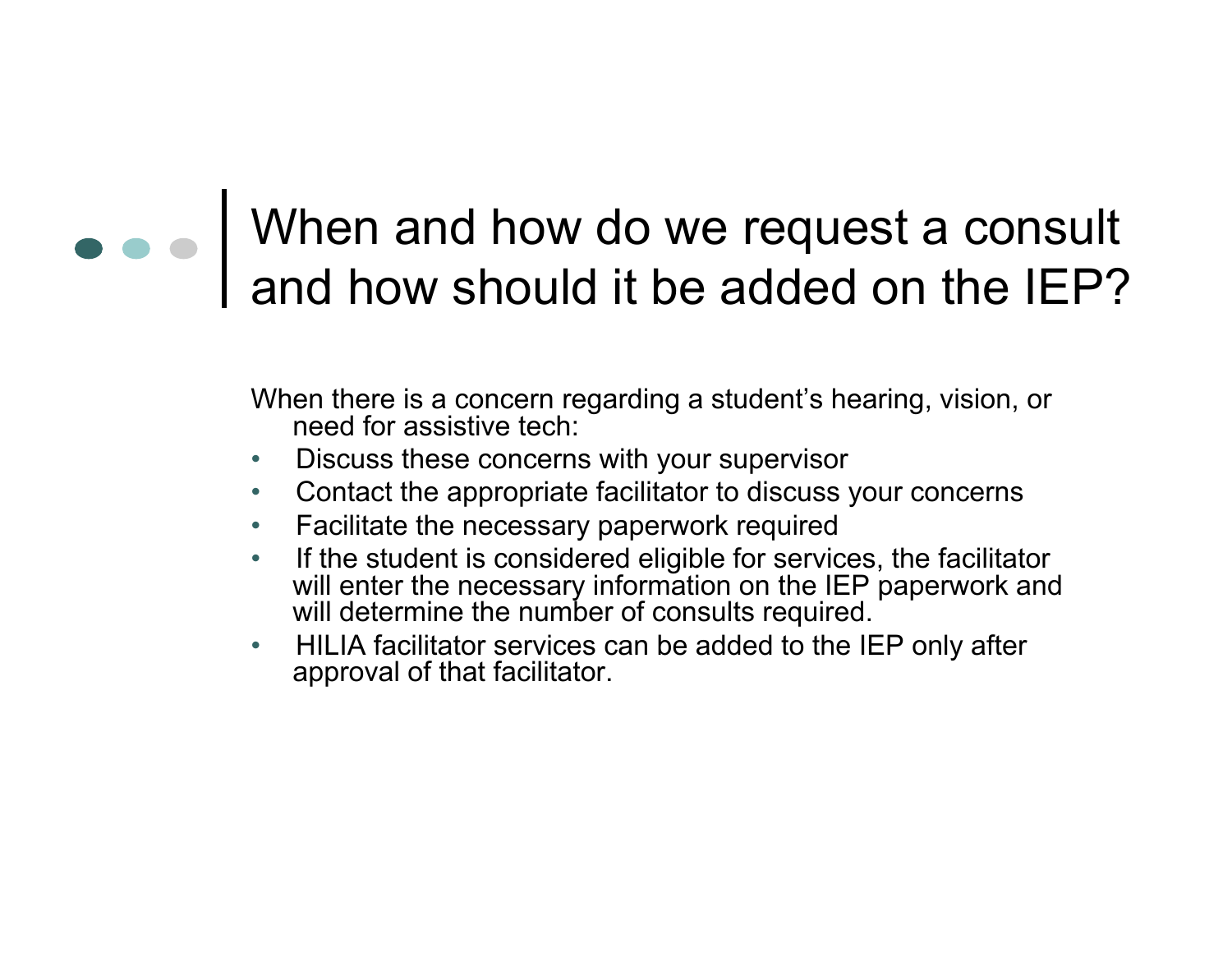### When and how do we request a consult and how should it be added on the IEP?

When there is a concern regarding a student's hearing, vision, or need for assistive tech:

- $\bullet$ Discuss these concerns with your supervisor
- $\bullet$ Contact the appropriate facilitator to discuss your concerns
- •Facilitate the necessary paperwork required
- $\bullet$ • If the student is considered eligible for services, the facilitator will enter the necessary information on the IEP paperwork and will determine the number of consults required.
- $\bullet$  HILIA facilitator services can be added to the IEP only after approval of that facilitator.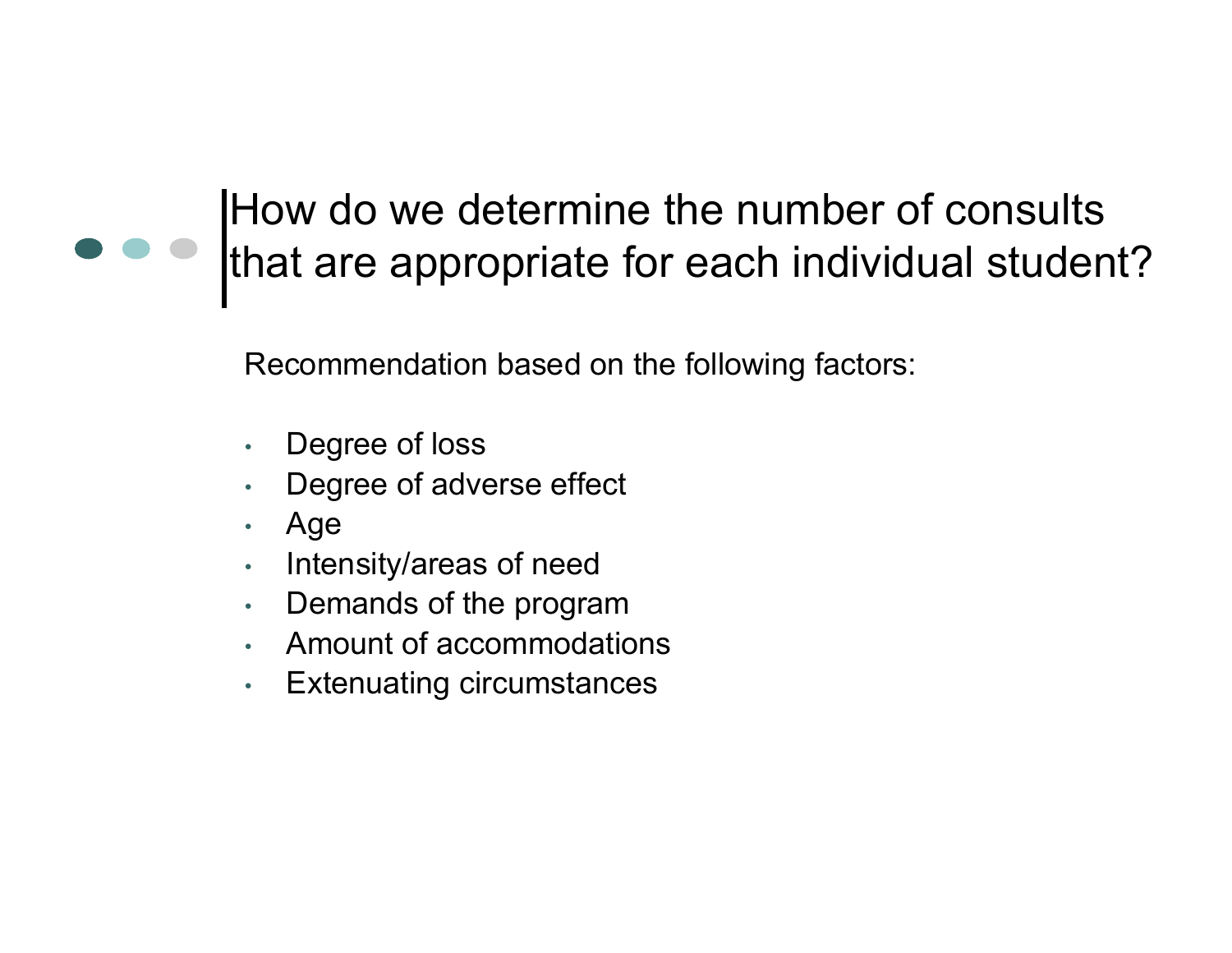How do we determine the number of consults that are appropriate for each individual student?

Recommendation based on the following factors:

- •Degree of loss
- •Degree of adverse effect
- Age
- Intensity/areas of need
- Demands of the program
- •Amount of accommodations
- •Extenuating circumstances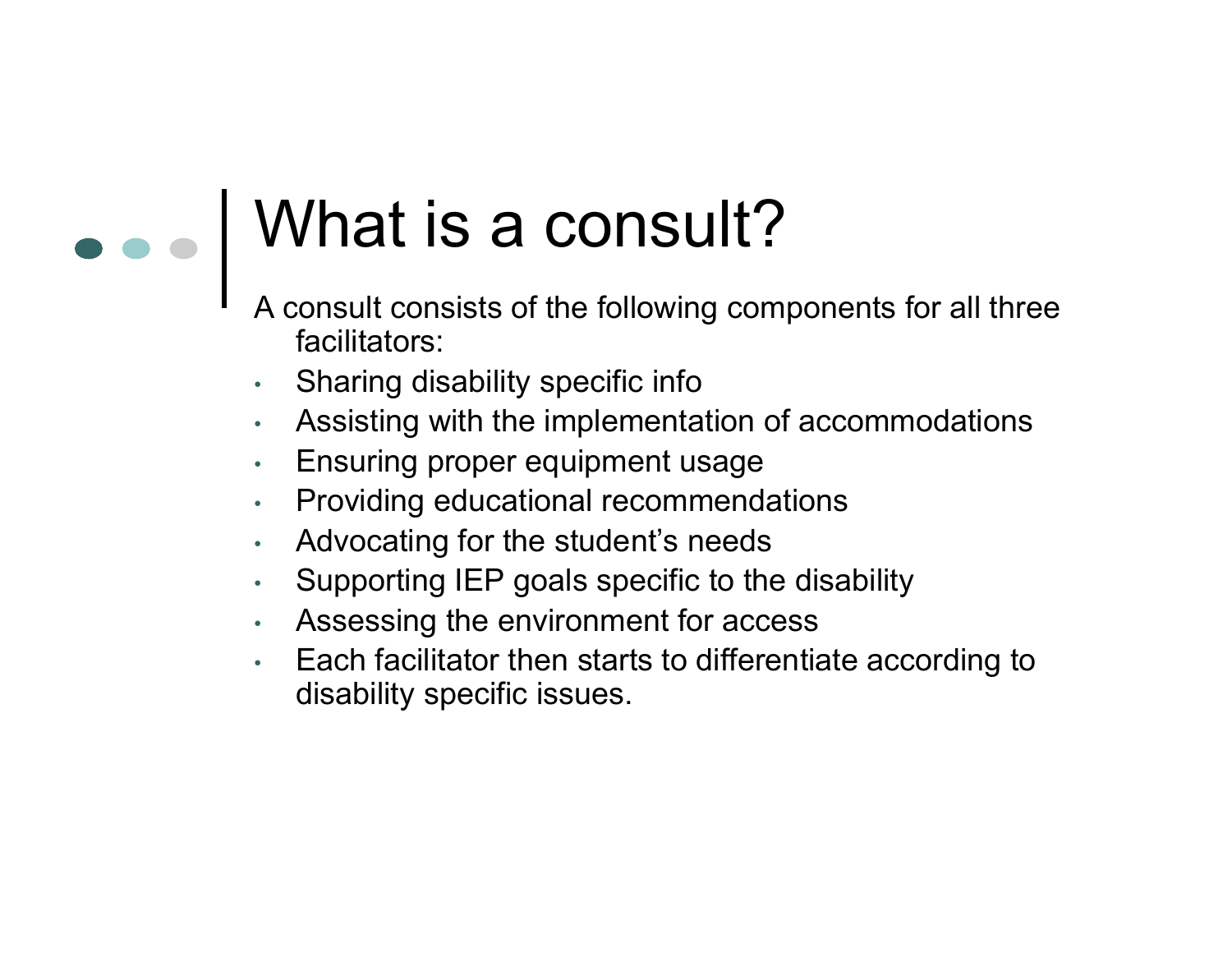## What is a consult?

- A consult consists of the following components for all three facilitators:
- •Sharing disability specific info
- Assisting with the implementation of accommodations
- Ensuring proper equipment usage
- •Providing educational recommendations
- $\bullet$ Advocating for the student's needs
- •Supporting IEP goals specific to the disability
- Assessing the environment for access
- • Each facilitator then starts to differentiate according to disability specific issues.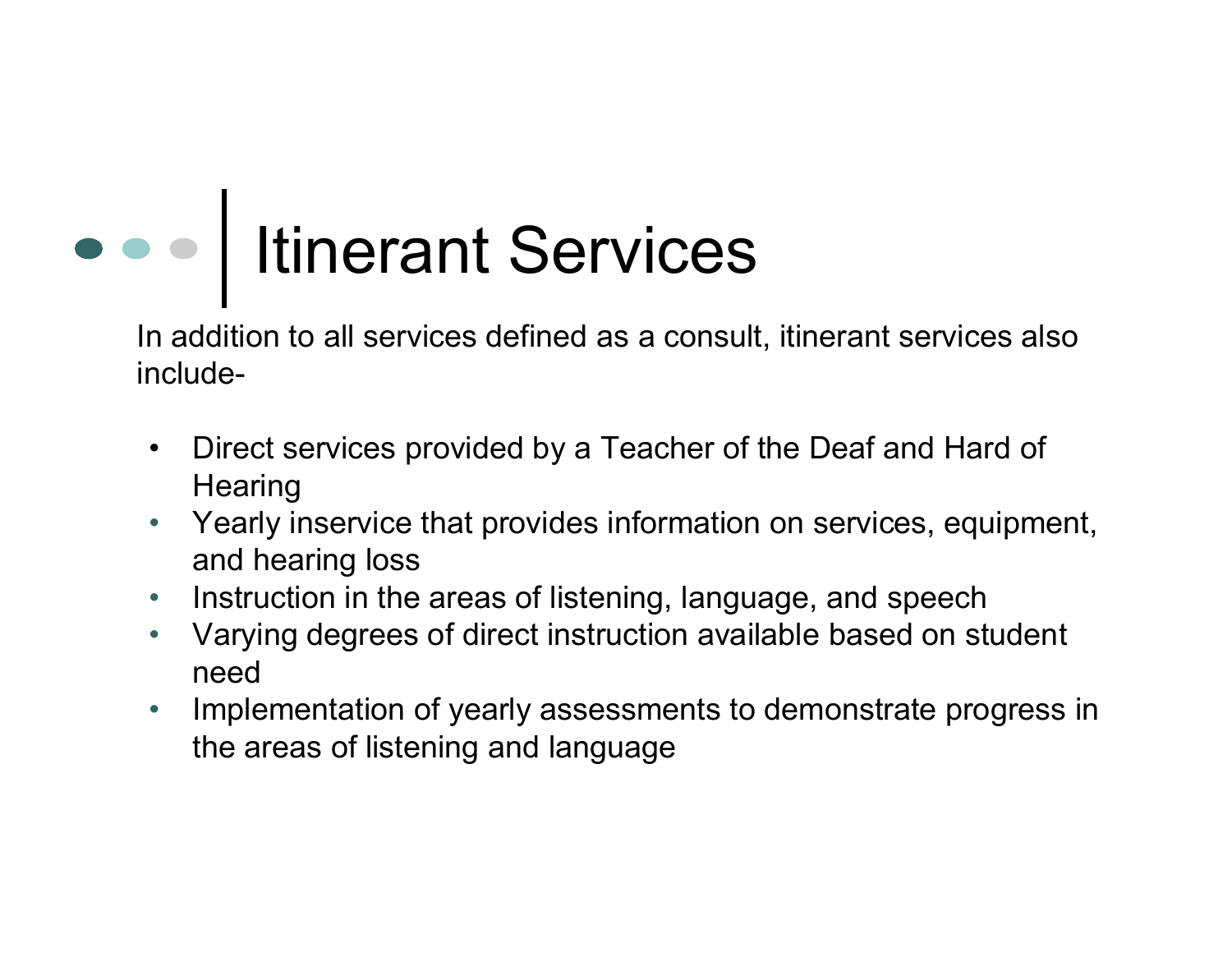# Itinerant Services

In addition to all services defined as a consult, itinerant services also include-

- $\bullet$  Direct services provided by a Teacher of the Deaf and Hard of **Hearing**
- Yearly inservice that provides information on services, equipment, and hearing loss
- Instruction in the areas of listening, language, and speech
- $\bullet$  Varying degrees of direct instruction available based on student need
- $\bullet$  Implementation of yearly assessments to demonstrate progress in the areas of listening and language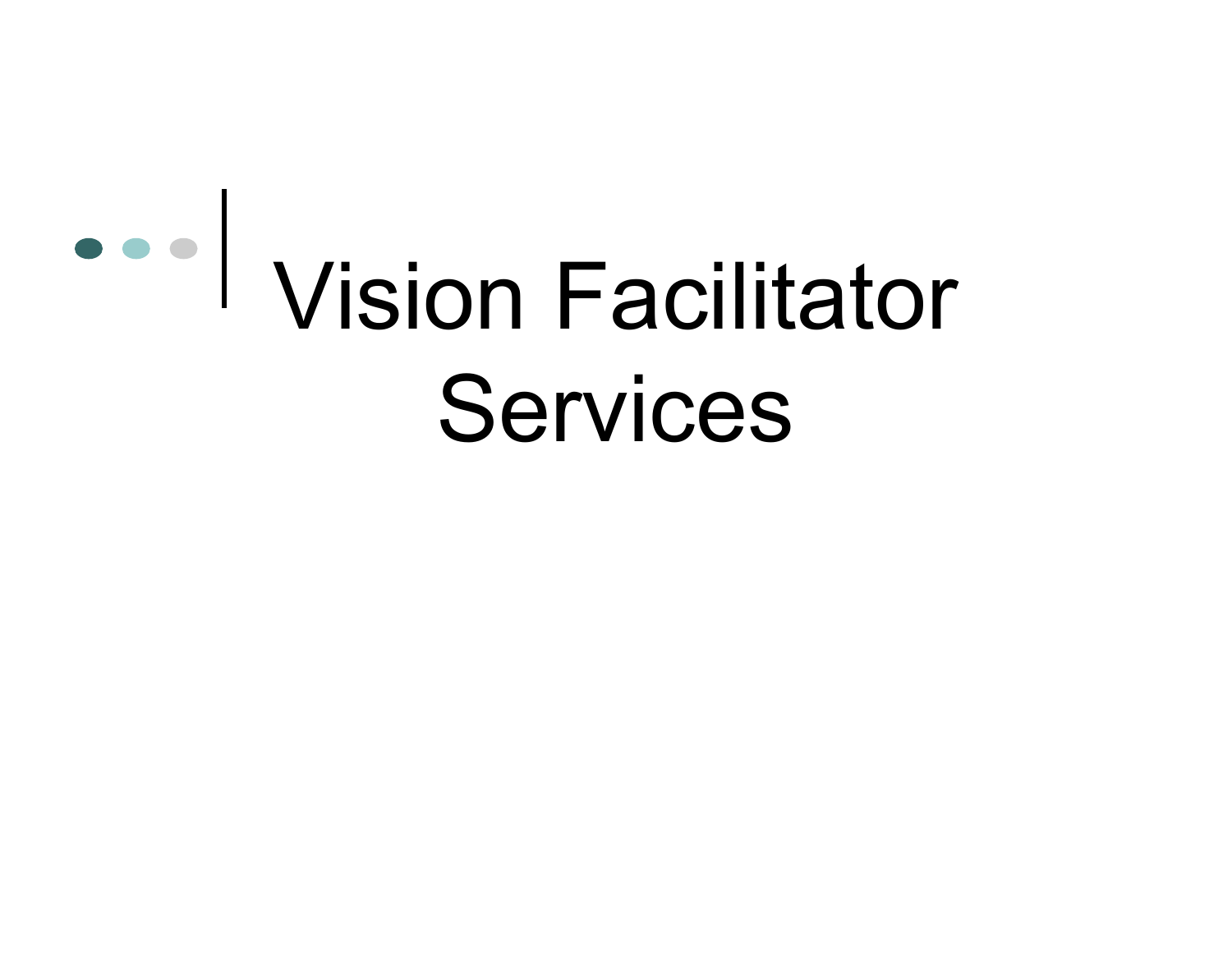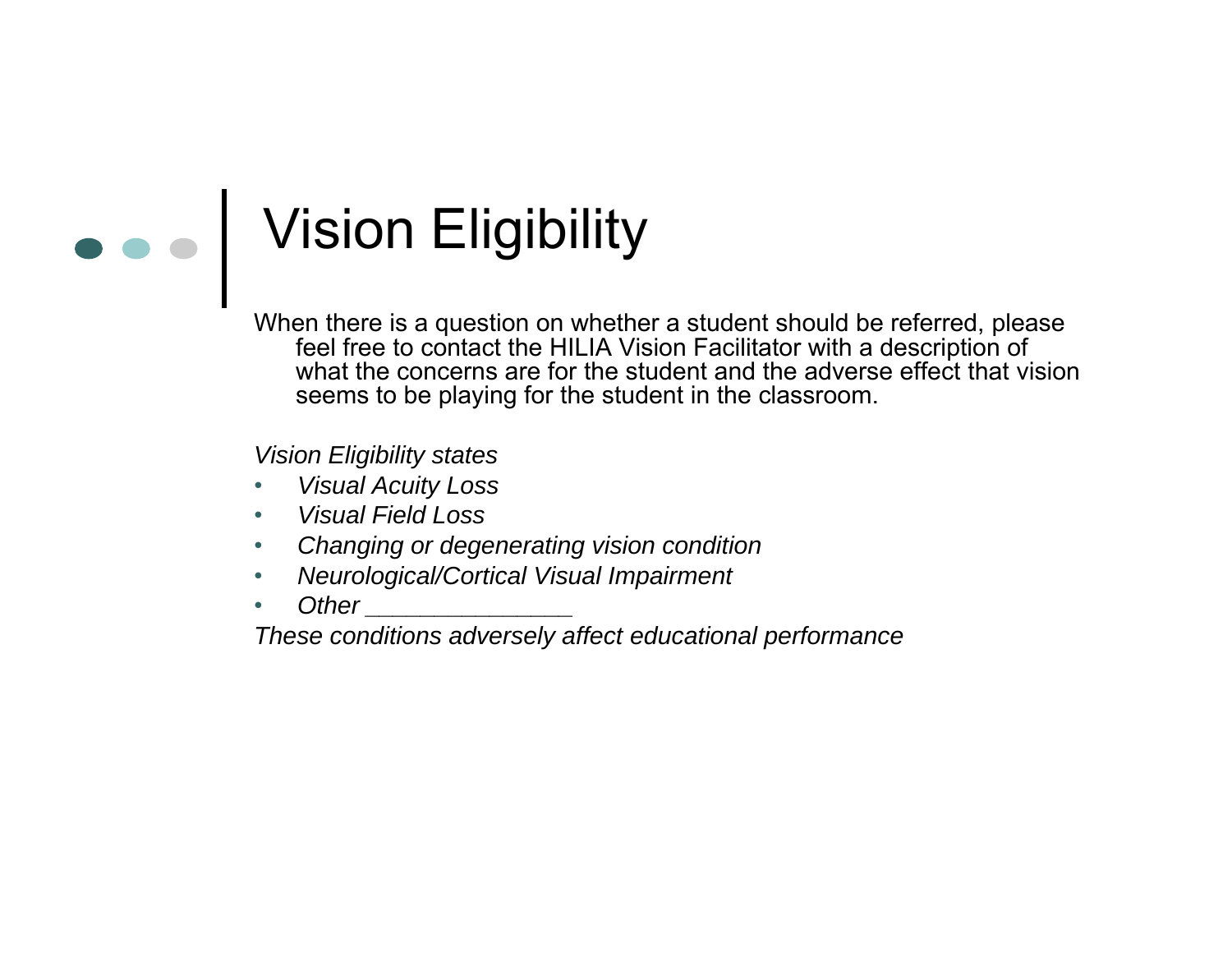

# $\bullet \bullet \bullet$  | Vision Eligibility

When there is a question on whether a student should be referred, please feel free to contact the HILIA Vision Facilitator with a description of what the concerns are for the student and the adverse effect that vision seems to be playing for the student in the classroom.

*Vision Eligibility states*

- •*Visual Acuity Loss*
- •*Visual Field Loss*
- •*Changing or degenerating vision condition*
- •*Neurological/Cortical Visual Impairment*
- •*Other comparison the comparison of the comparison of the comparison of the comparison of the comparison of the comparison of the comparison of the comparison of the comparison of the comparison of the comparison of the*

*These conditions adversely affect educational performance*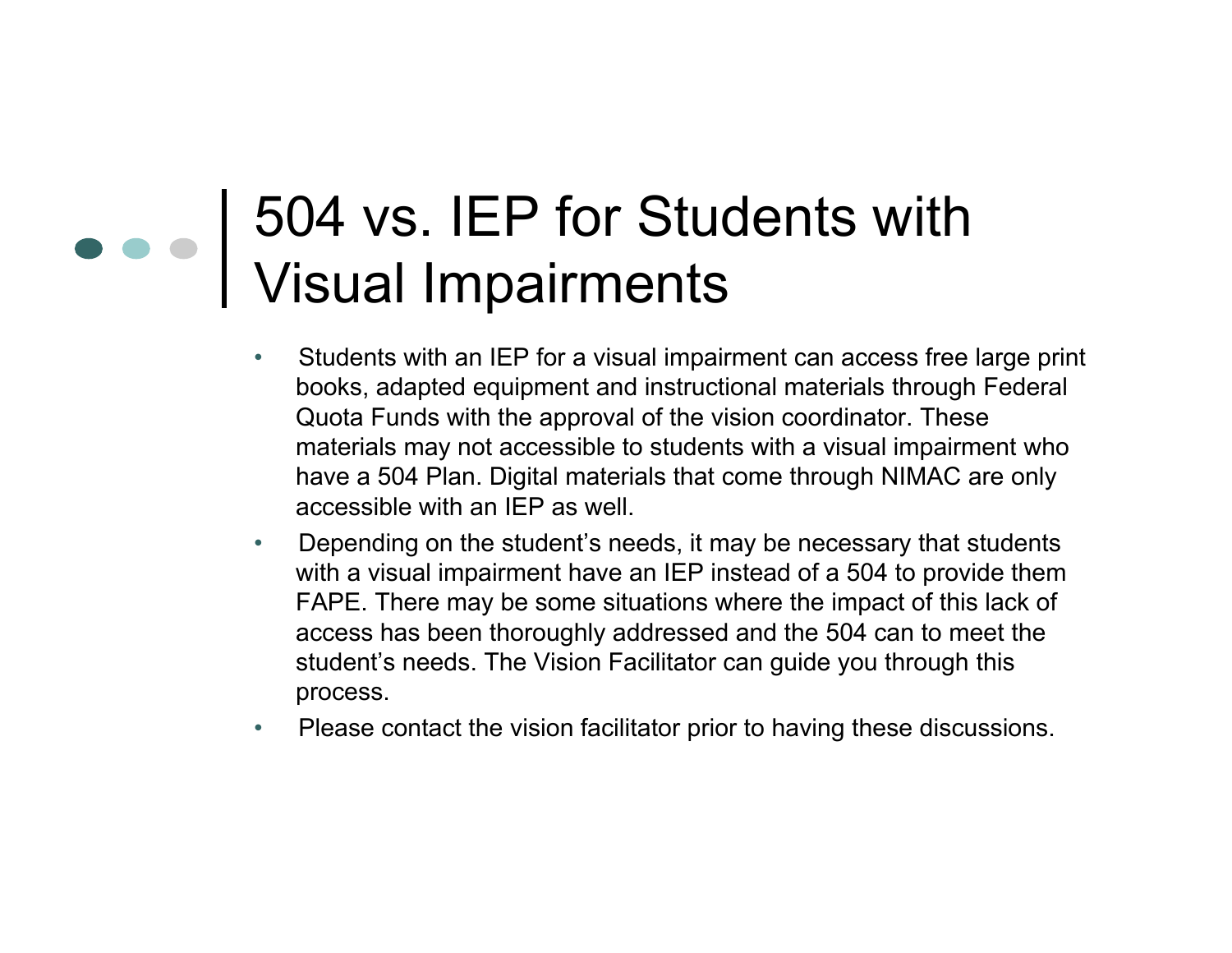### 504 vs. IEP for Students with Visual Impairments

- • Students with an IEP for a visual impairment can access free large print books, adapted equipment and instructional materials through Federal Quota Funds with the approval of the vision coordinator. These materials may not accessible to students with a visual impairment who have a 504 Plan. Digital materials that come through NIMAC are only accessible with an IEP as well.
- • Depending on the student's needs, it may be necessary that students with a visual impairment have an IEP instead of a 504 to provide them FAPE. There may be some situations where the impact of this lack of access has been thoroughly addressed and the 504 can to meet the student's needs. The Vision Facilitator can guide you through this process.
- •Please contact the vision facilitator prior to having these discussions.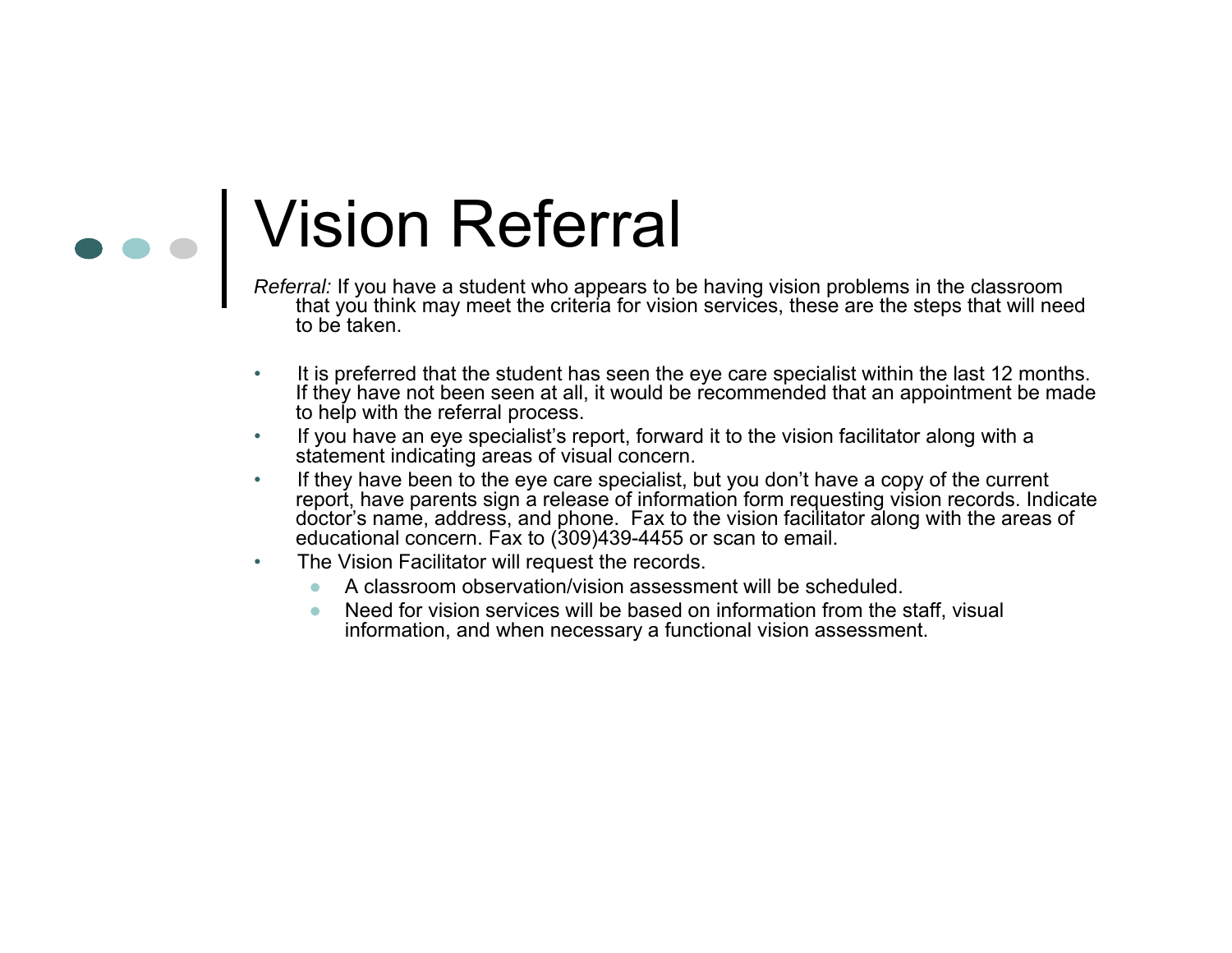

# **COLO Vision Referral**

*Referral:* If you have a student who appears to be having vision problems in the classroom that you think may meet the criteria for vision services, these are the steps that will need to be taken.

- • It is preferred that the student has seen the eye care specialist within the last 12 months. If they have not been seen at all, it would be recommended that an appointment be made to help with the referral process.
- • If you have an eye specialist's report, forward it to the vision facilitator along with a statement indicating areas of visual concern.
- • If they have been to the eye care specialist, but you don't have a copy of the current report, have parents sign a release of information form requesting vision records. Indicate doctor's name, address, and phone. Fax to the vision facilitator along with the areas of educational concern. Fax to (309)439-4455 or scan to email.
- • The Vision Facilitator will request the records.
	- A classroom observation/vision assessment will be scheduled.
	- ● Need for vision services will be based on information from the staff, visual information, and when necessary a functional vision assessment.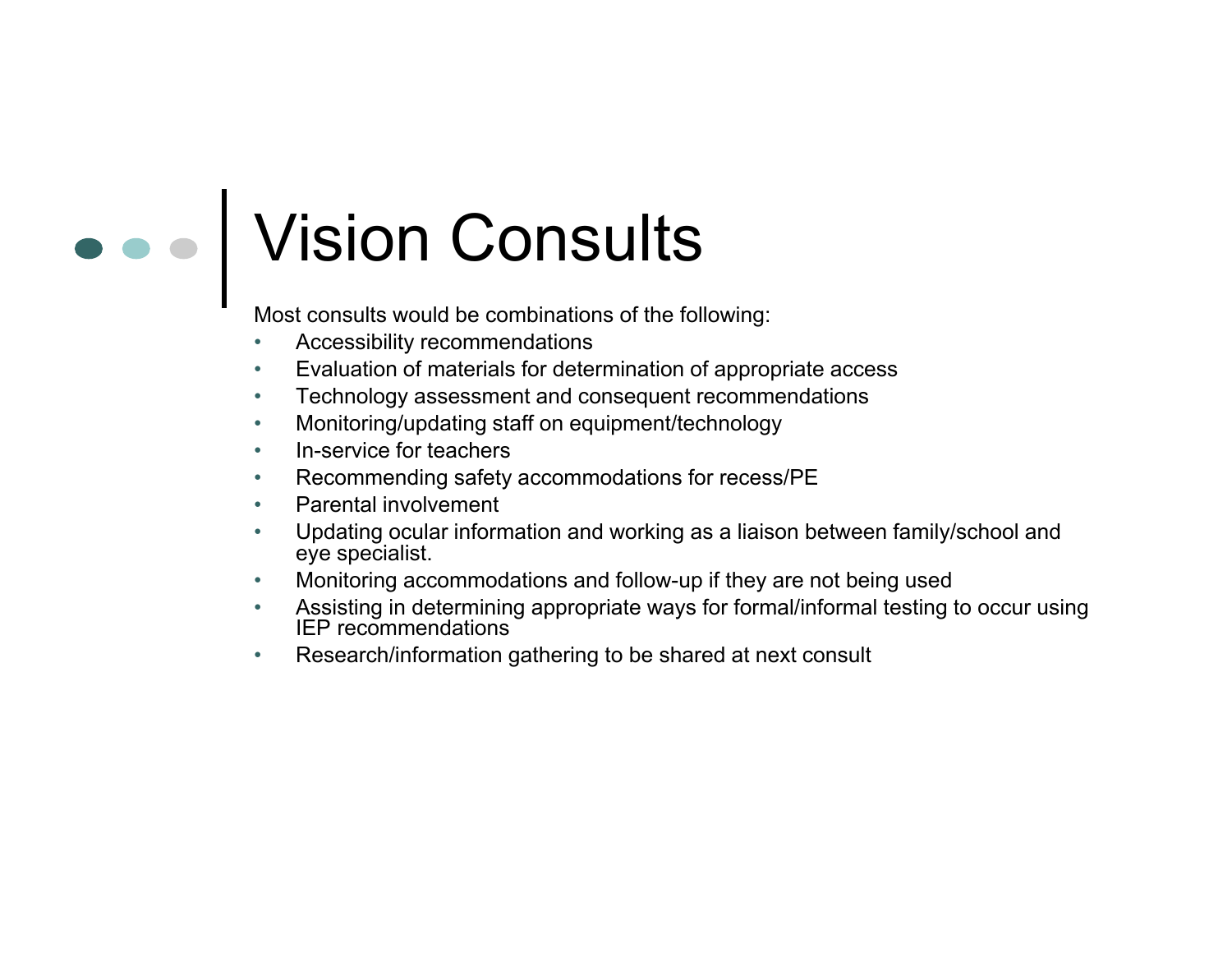## Vision Consults

Most consults would be combinations of the following:

- •Accessibility recommendations
- •Evaluation of materials for determination of appropriate access
- •Technology assessment and consequent recommendations
- $\bullet$ Monitoring/updating staff on equipment/technology
- $\bullet$ In-service for teachers
- $\bullet$ Recommending safety accommodations for recess/PE
- •Parental involvement
- • Updating ocular information and working as a liaison between family/school and eye specialist.
- $\bullet$ Monitoring accommodations and follow-up if they are not being used
- • Assisting in determining appropriate ways for formal/informal testing to occur using IEP recommendations
- •Research/information gathering to be shared at next consult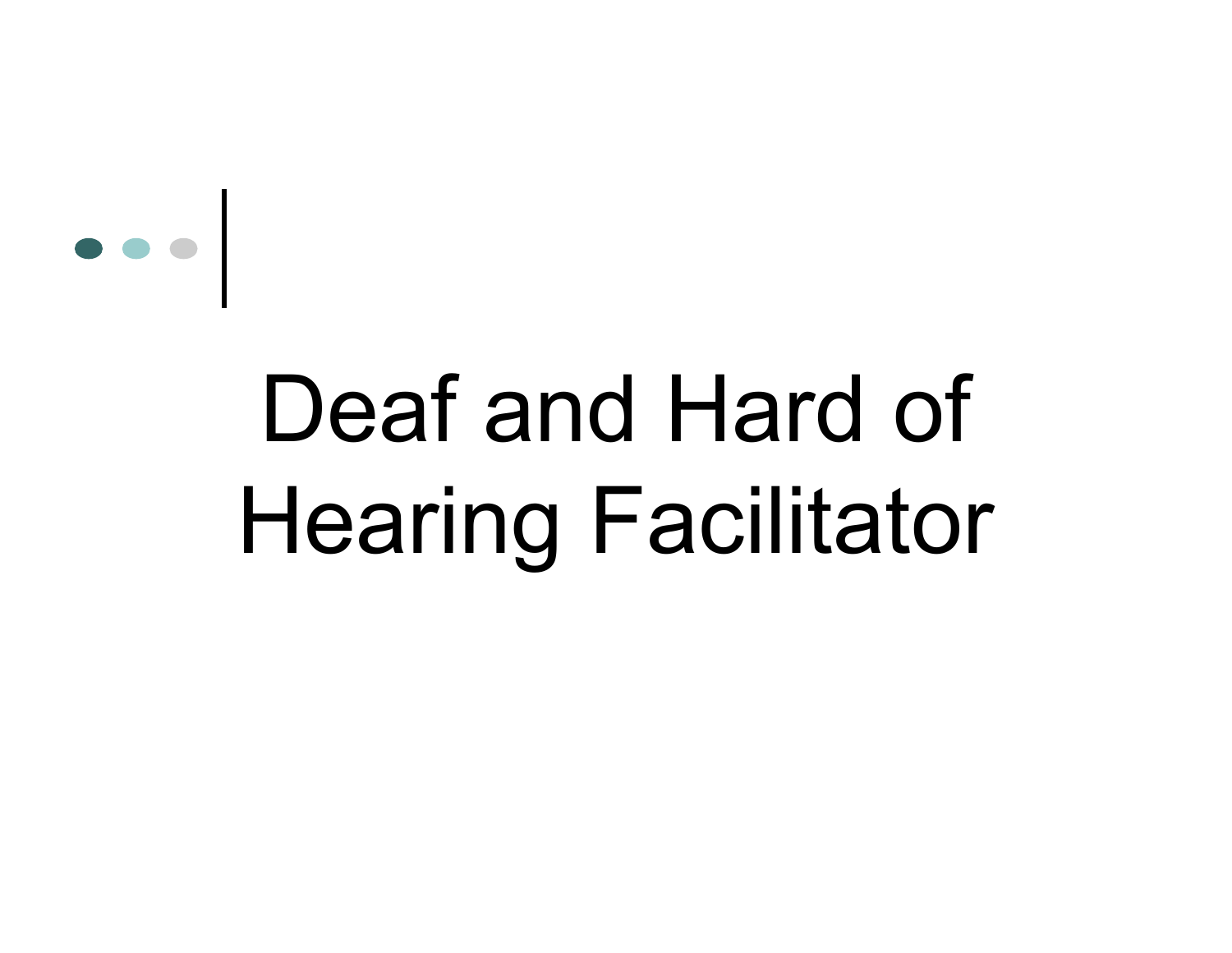

# Deaf and Hard of Hearing Facilitator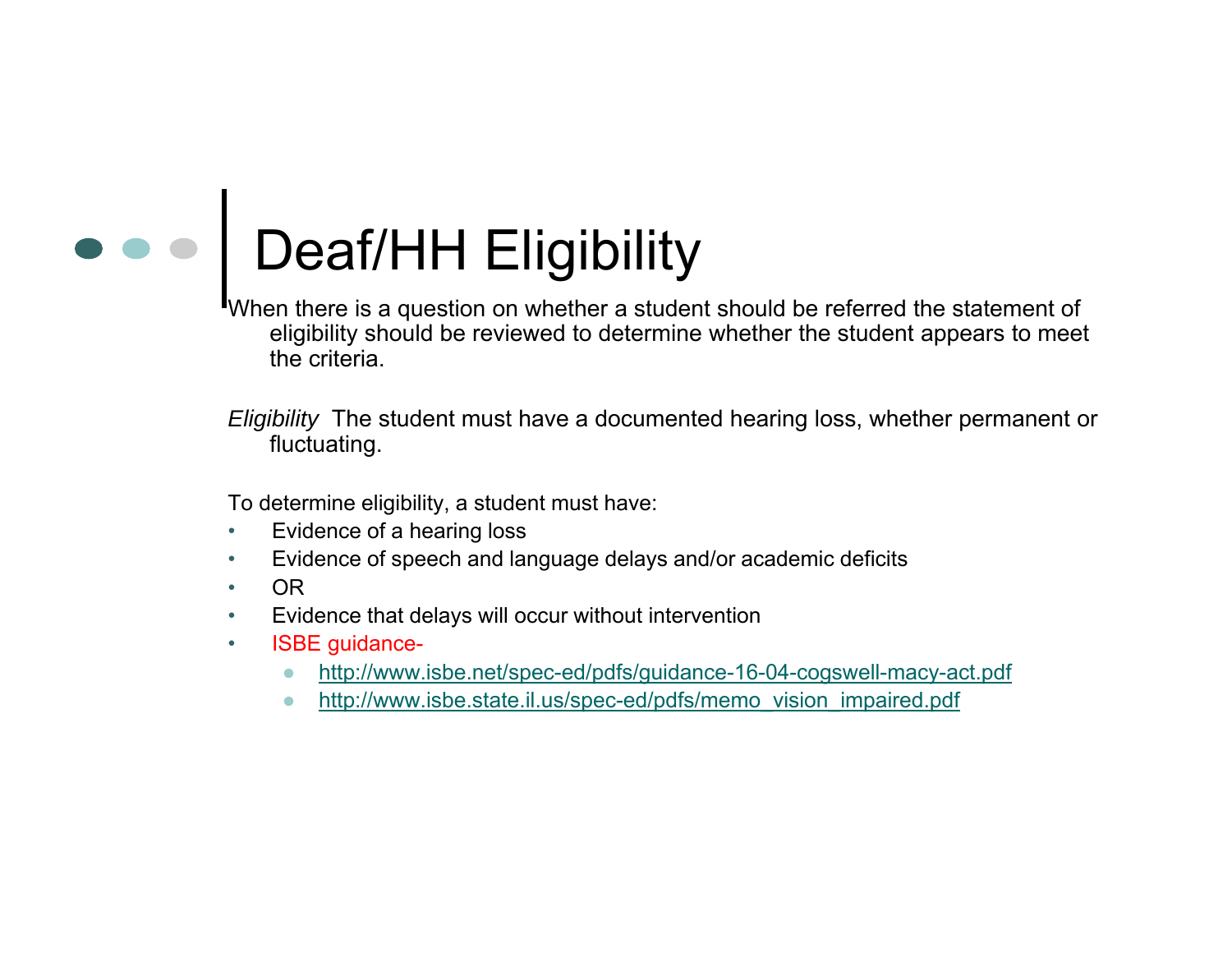# Deaf/HH Eligibility

When there is a question on whether a student should be referred the statement of eligibility should be reviewed to determine whether the student appears to meet the criteria.

*Eligibility* The student must have a documented hearing loss, whether permanent or fluctuating.

To determine eligibility, a student must have:

- •Evidence of a hearing loss
- $\bullet$ Evidence of speech and language delays and/or academic deficits
- •OR
- •Evidence that delays will occur without intervention
- • ISBE guidance-
	- http://www.isbe.net/spec-ed/pdfs/guidance-16-04-cogswell-macy-act.pdf
	- http://www.isbe.state.il.us/spec-ed/pdfs/memo\_vision\_impaired.pdf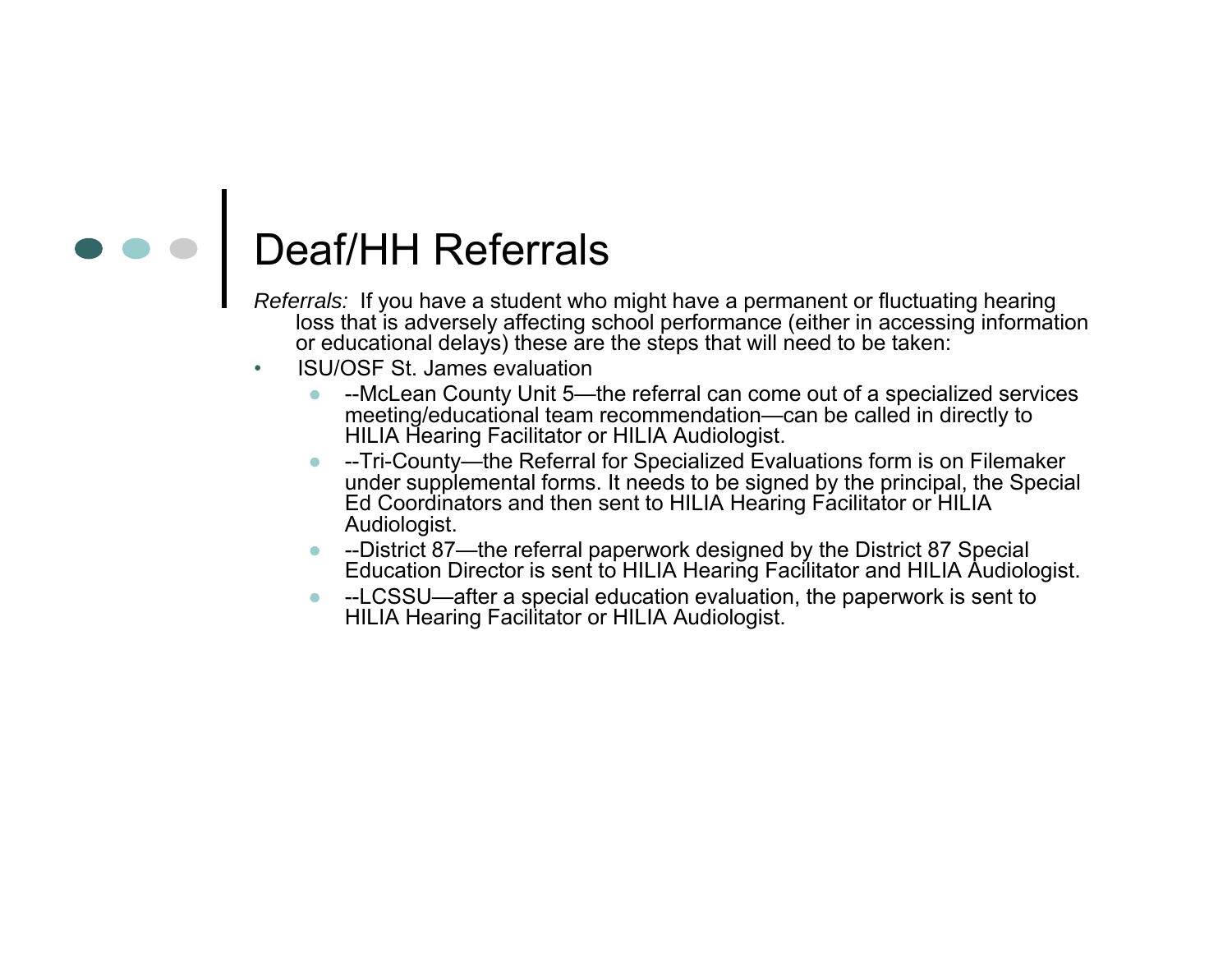#### Deaf/HH Referrals

*Referrals:* If you have a student who might have a permanent or fluctuating hearing loss that is adversely affecting school performance (either in accessing information or educational delays) these are the steps that will need to be taken:

- • ISU/OSF St. James evaluation
	- ● --McLean County Unit 5—the referral can come out of a specialized services meeting/educational team recommendation—can be called in directly to HILIA Hearing Facilitator or HILIA Audiologist.
	- ● --Tri-County—the Referral for Specialized Evaluations form is on Filemaker under supplemental forms. It needs to be signed by the principal, the Special Ed Coordinators and then sent to HILIA Hearing Facilitator or HILIA Audiologist.
	- --District 87—the referral paperwork designed by the District 87 Special Education Director is sent to HILIA Hearing Facilitator and HILIA Audiologist.
	- -LCSSU—after a special education evaluation, the paperwork is sent to HILIA Hearing Facilitator or HILIA Audiologist.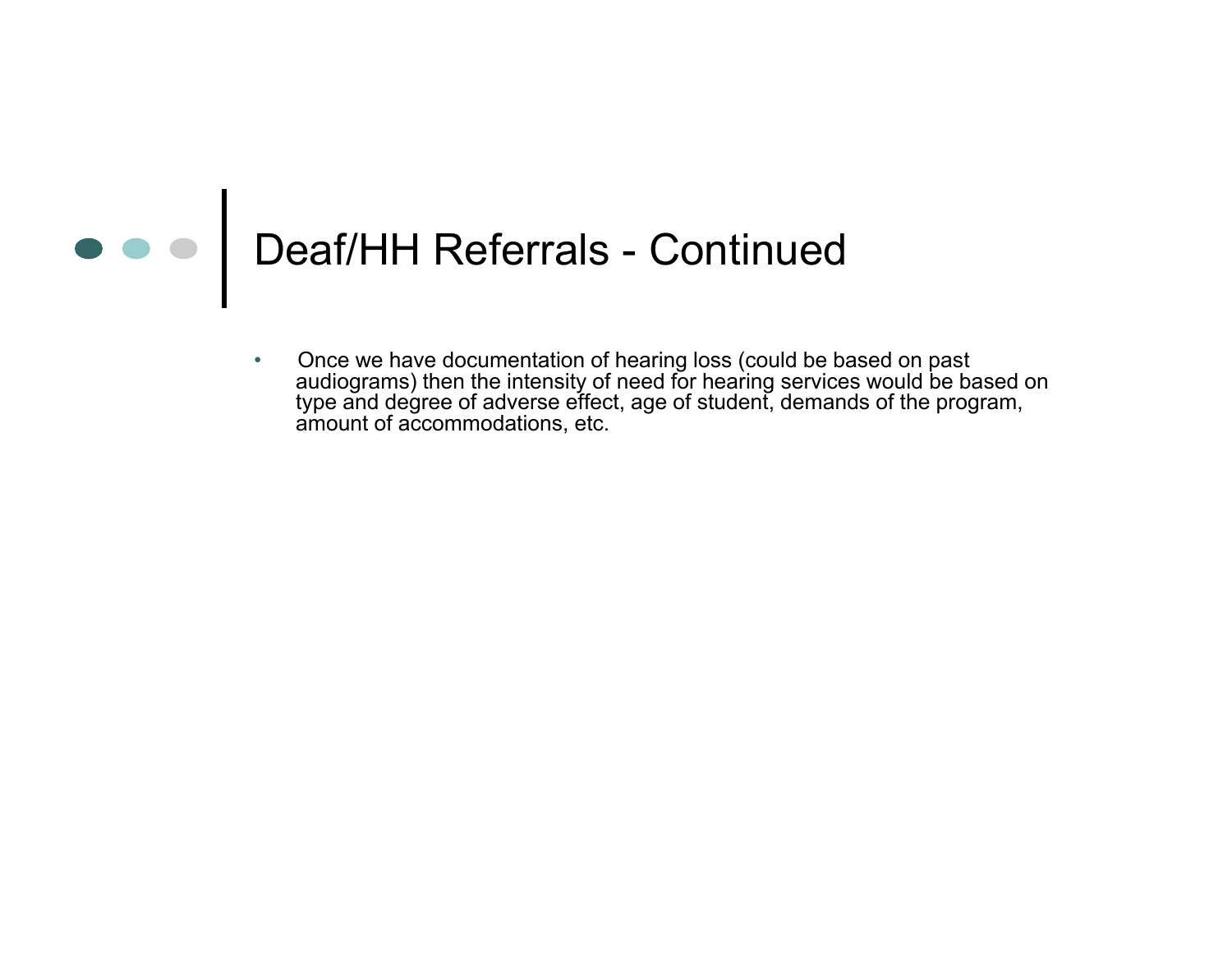# Deaf/HH Referrals - Continued

• Once we have documentation of hearing loss (could be based on past audiograms) then the intensity of need for hearing services would be based on type and degree of adverse effect, age of student, demands of the program, amount of accommodations, etc.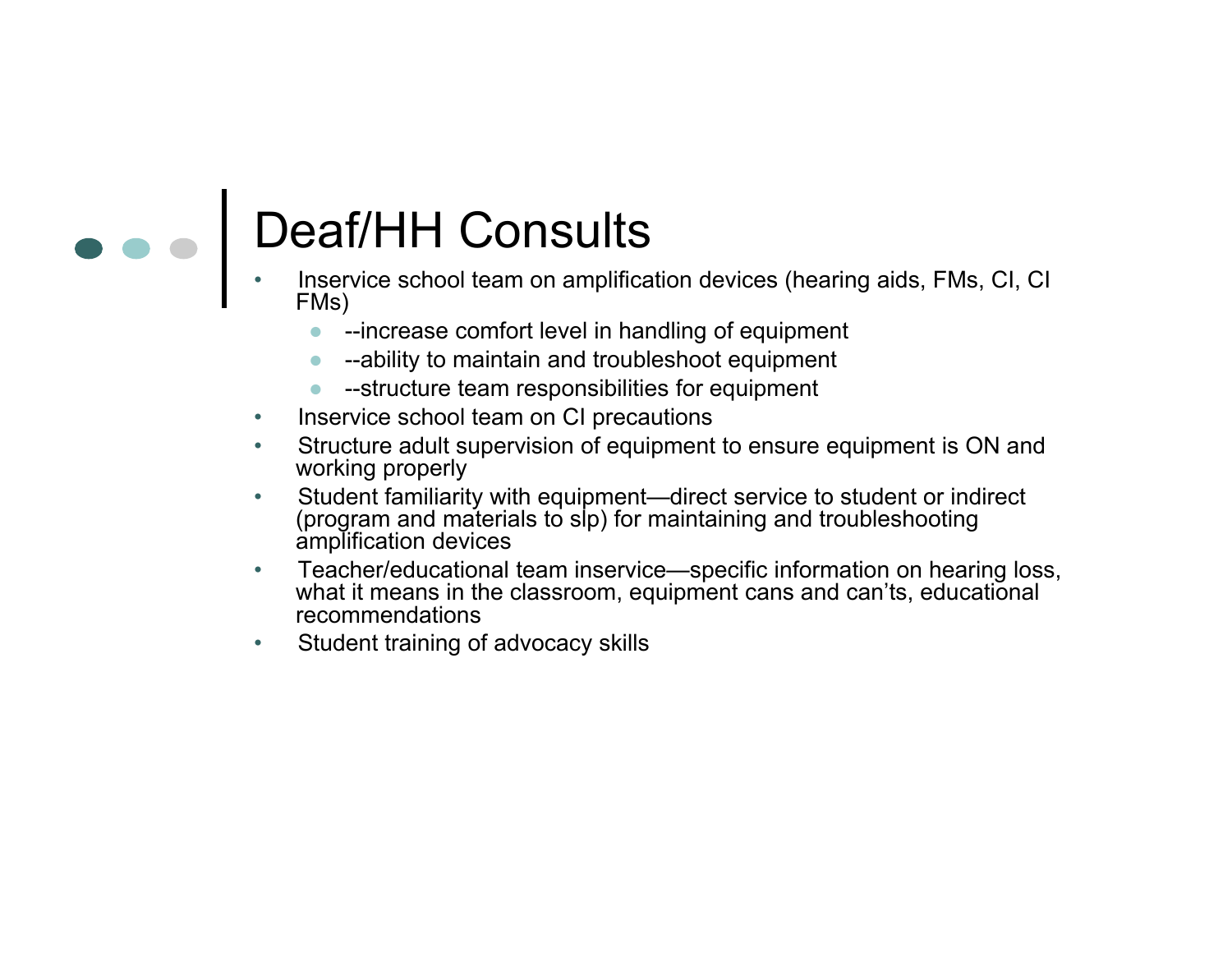

### Deaf/HH Consults

- Inservice school team on amplification devices (hearing aids, FMs, CI, CI FMs)
	- --increase comfort level in handling of equipment
	- ●--ability to maintain and troubleshoot equipment
	- ●--structure team responsibilities for equipment
- $\bullet$ Inservice school team on CI precautions
- • Structure adult supervision of equipment to ensure equipment is ON and working properly
- • Student familiarity with equipment—direct service to student or indirect (program and materials to slp) for maintaining and troubleshooting amplification devices
- • Teacher/educational team inservice—specific information on hearing loss, what it means in the classroom, equipment cans and can'ts, educational recommendations
- $\bullet$ Student training of advocacy skills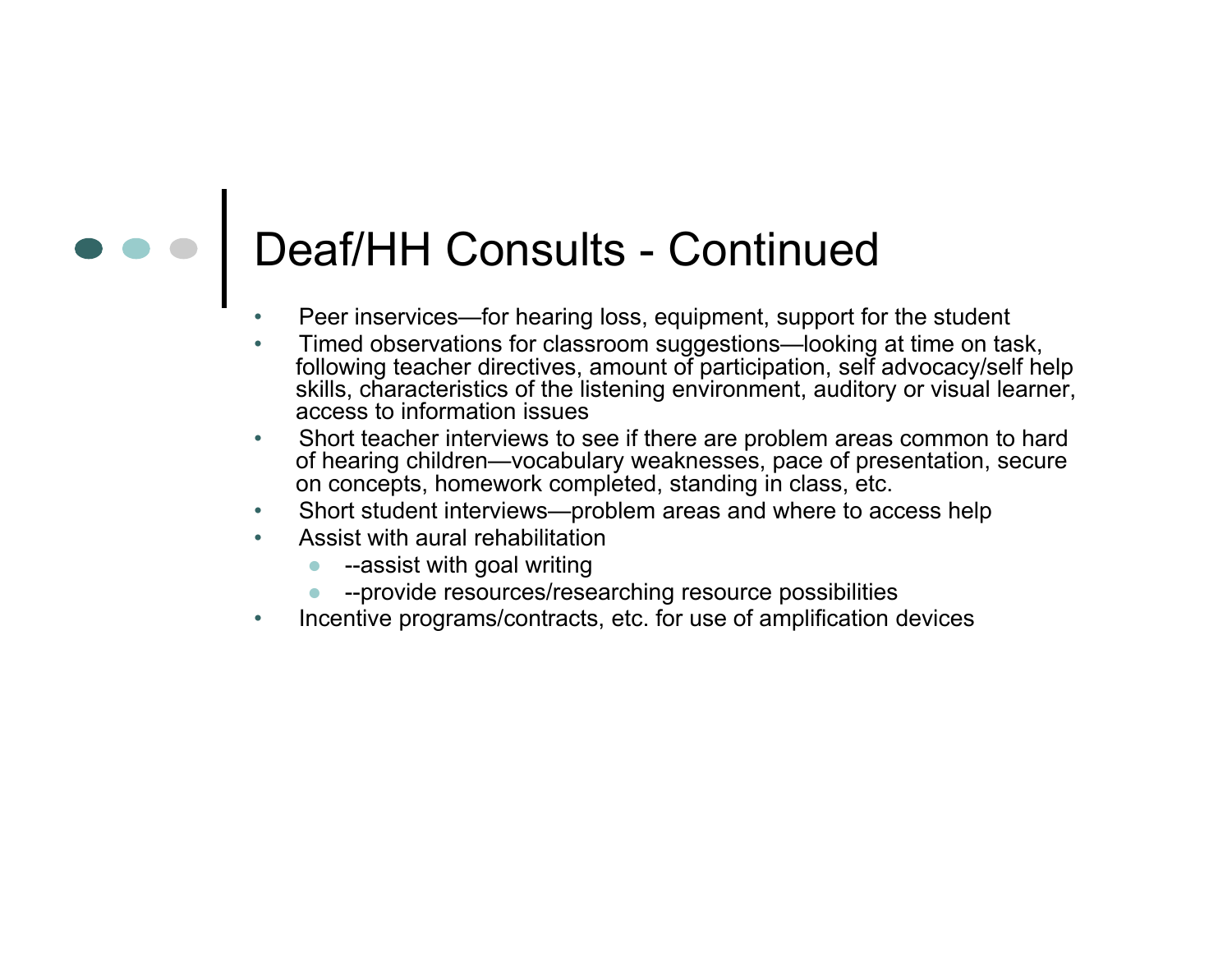# Deaf/HH Consults - Continued

- •Peer inservices—for hearing loss, equipment, support for the student
- • Timed observations for classroom suggestions—looking at time on task, following teacher directives, amount of participation, self advocacy/self help skills, characteristics of the listening environment, auditory or visual learner, access to information issues
- • Short teacher interviews to see if there are problem areas common to hard of hearing children—vocabulary weaknesses, pace of presentation, secure on concepts, homework completed, standing in class, etc.
- $\bullet$ Short student interviews—problem areas and where to access help
- $\bullet$  Assist with aural rehabilitation
	- ●--assist with goal writing
	- ●--provide resources/researching resource possibilities
- •Incentive programs/contracts, etc. for use of amplification devices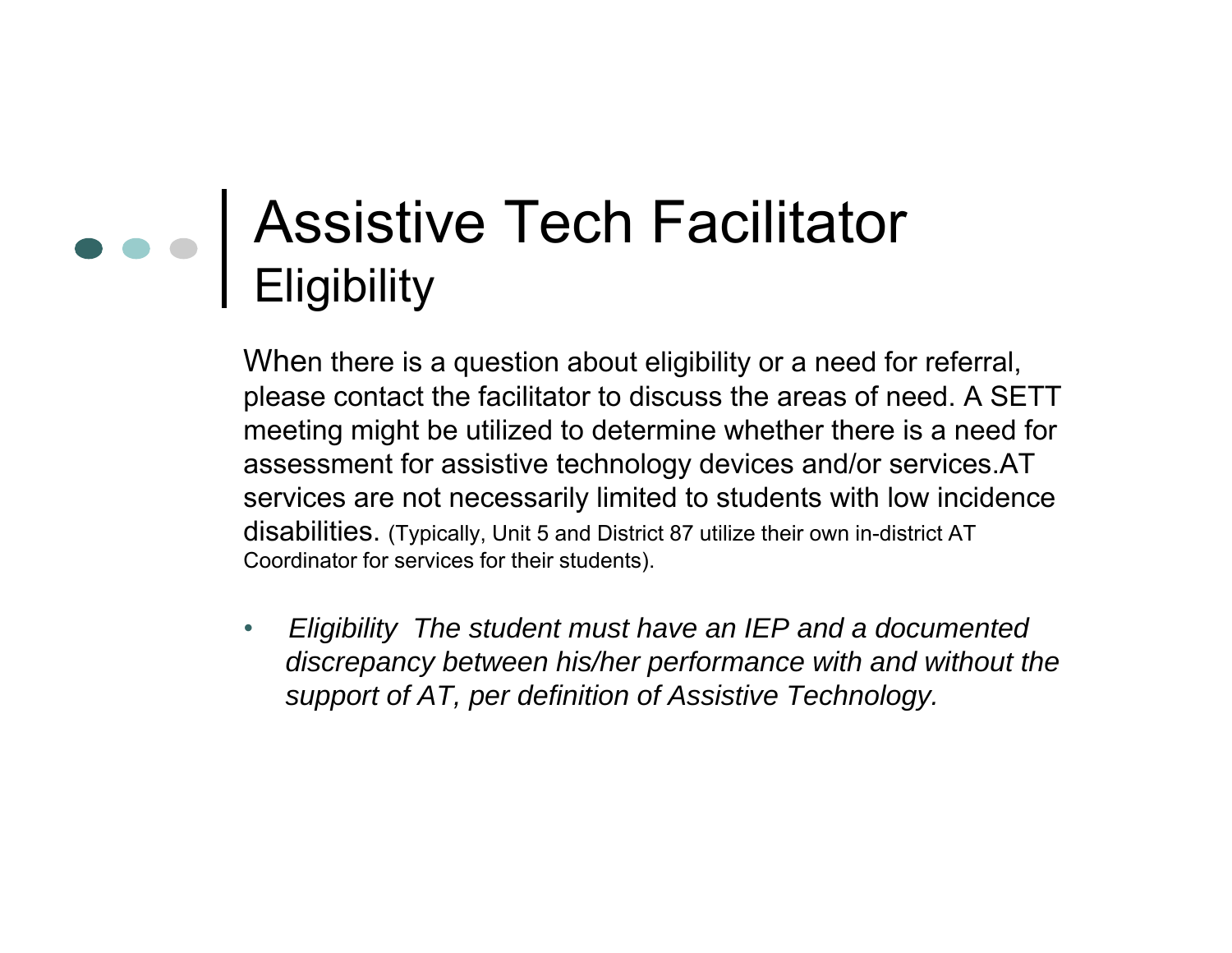### Assistive Tech Facilitator Eligibility

When there is a question about eligibility or a need for referral, please contact the facilitator to discuss the areas of need. A SETT meeting might be utilized to determine whether there is a need for assessment for assistive technology devices and/or services.AT services are not necessarily limited to students with low incidence disabilities. (Typically, Unit 5 and District 87 utilize their own in-district AT Coordinator for services for their students).

• *Eligibility The student must have an IEP and a documented discrepancy between his/her performance with and without the support of AT, per definition of Assistive Technology.*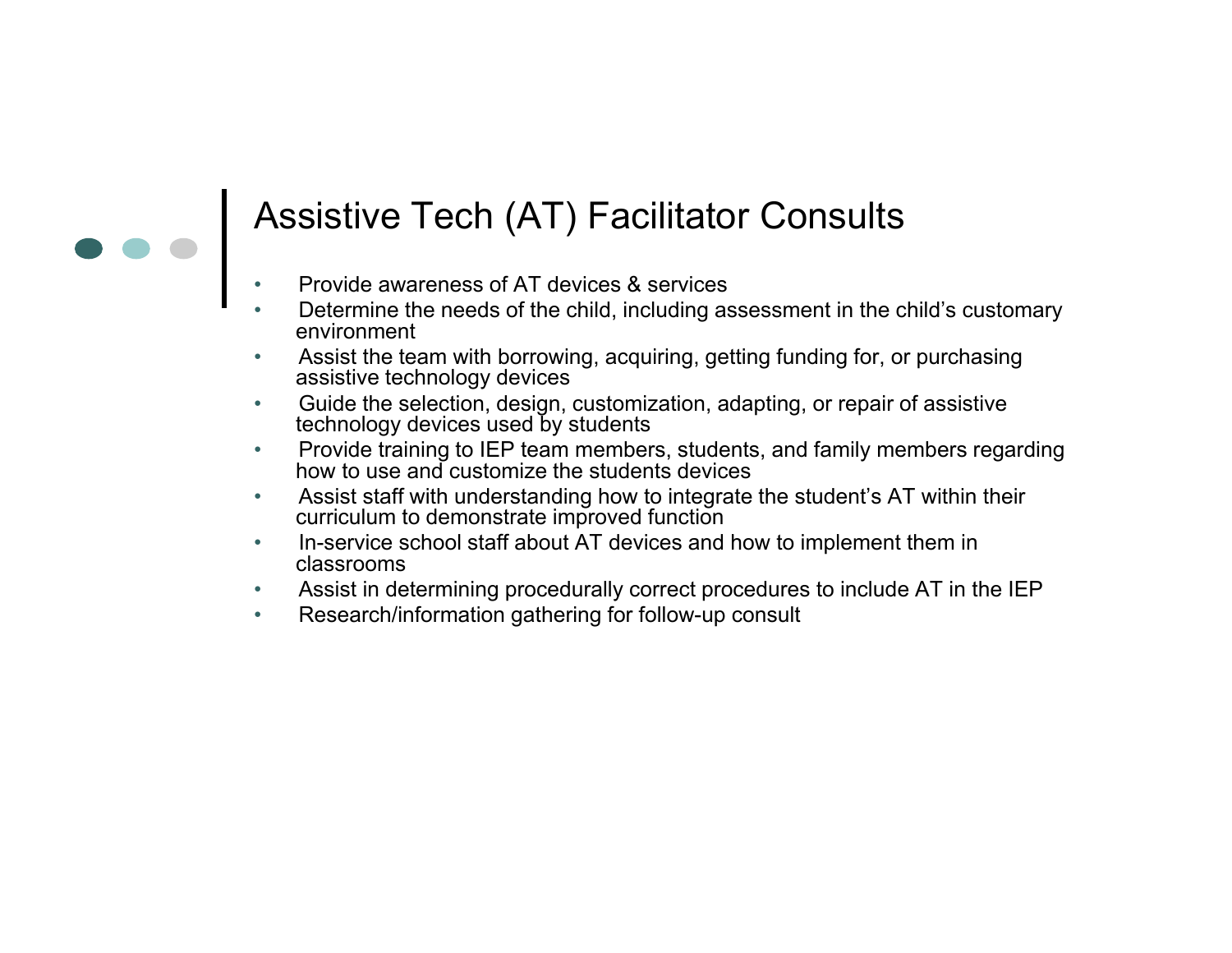

#### Assistive Tech (AT) Facilitator Consults

- •Provide awareness of AT devices & services
- • Determine the needs of the child, including assessment in the child's customary environment
- • Assist the team with borrowing, acquiring, getting funding for, or purchasing assistive technology devices
- • Guide the selection, design, customization, adapting, or repair of assistive technology devices used by students
- $\bullet$  Provide training to IEP team members, students, and family members regarding how to use and customize the students devices
- • Assist staff with understanding how to integrate the student's AT within their curriculum to demonstrate improved function
- $\bullet$  In-service school staff about AT devices and how to implement them in classrooms
- •Assist in determining procedurally correct procedures to include AT in the IEP
- $\bullet$ Research/information gathering for follow-up consult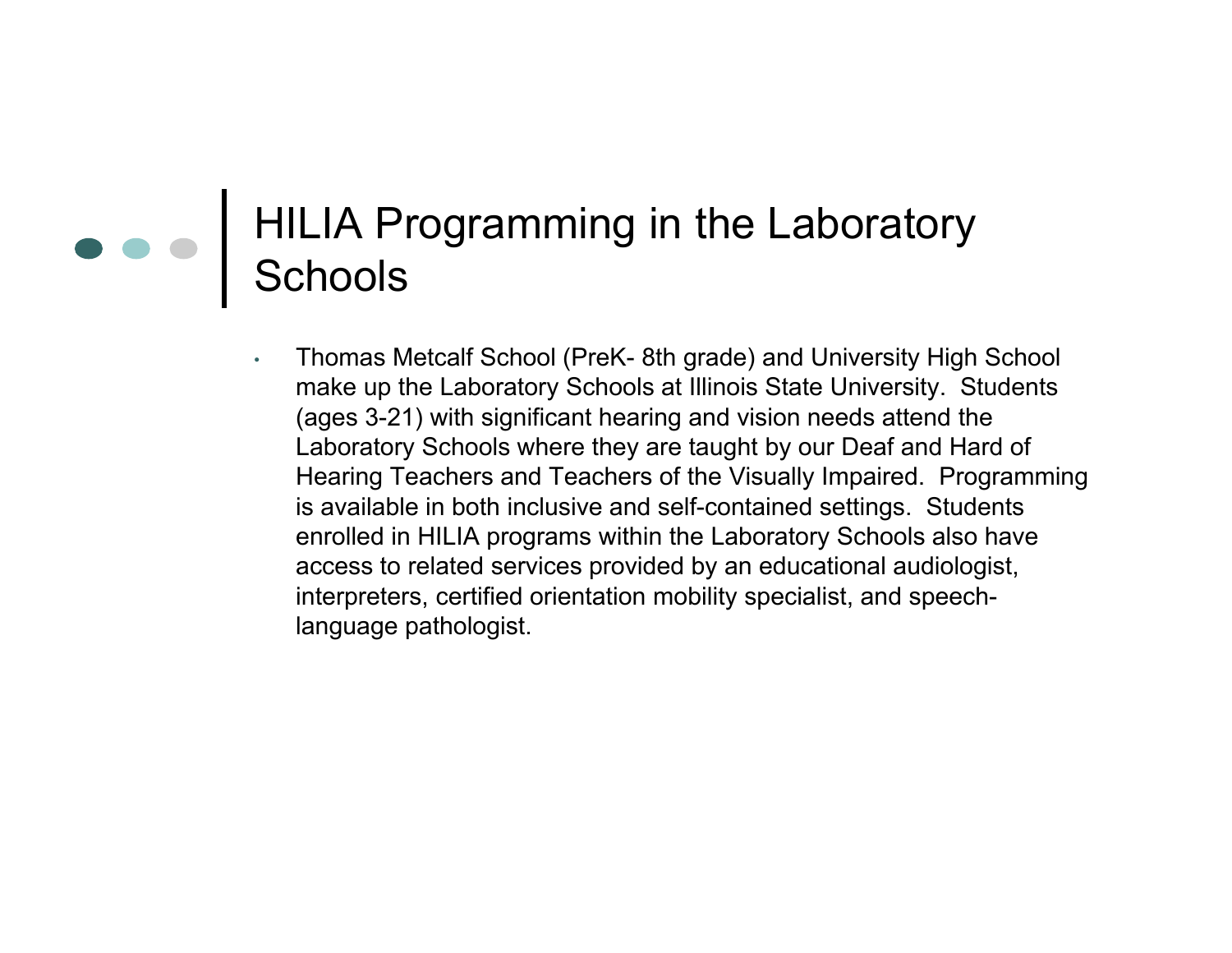#### HILIA Programming in the Laboratory Schools

• Thomas Metcalf School (PreK- 8th grade) and University High School make up the Laboratory Schools at Illinois State University. Students (ages 3-21) with significant hearing and vision needs attend the Laboratory Schools where they are taught by our Deaf and Hard of Hearing Teachers and Teachers of the Visually Impaired. Programming is available in both inclusive and self-contained settings. Students enrolled in HILIA programs within the Laboratory Schools also have access to related services provided by an educational audiologist, interpreters, certified orientation mobility specialist, and speechlanguage pathologist.